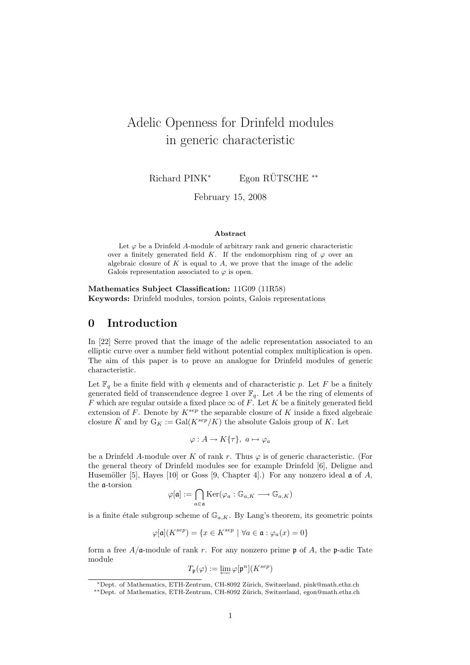# Adelic Openness for Drinfeld modules in generic characteristic

Richard PINK<sup>\*</sup> Egon RÜTSCHE<sup>\*\*</sup>

February 15, 2008

#### Abstract

Let  $\varphi$  be a Drinfeld A-module of arbitrary rank and generic characteristic over a finitely generated field K. If the endomorphism ring of  $\varphi$  over an algebraic closure of  $K$  is equal to  $A$ , we prove that the image of the adelic Galois representation associated to  $\varphi$  is open.

Mathematics Subject Classification: 11G09 (11R58) Keywords: Drinfeld modules, torsion points, Galois representations

### 0 Introduction

In [22] Serre proved that the image of the adelic representation associated to an elliptic curve over a number field without potential complex multiplication is open. The aim of this paper is to prove an analogue for Drinfeld modules of generic characteristic.

Let  $\mathbb{F}_q$  be a finite field with q elements and of characteristic p. Let F be a finitely generated field of transcendence degree 1 over  $\mathbb{F}_q$ . Let A be the ring of elements of F which are regular outside a fixed place  $\infty$  of F. Let K be a finitely generated field extension of F. Denote by  $K^{sep}$  the separable closure of K inside a fixed algebraic closure  $\bar{K}$  and by  $G_K := \text{Gal}(K^{sep}/K)$  the absolute Galois group of K. Let

$$
\varphi: A \to K\{\tau\}, \ a \mapsto \varphi_a
$$

be a Drinfeld A-module over K of rank r. Thus  $\varphi$  is of generic characteristic. (For the general theory of Drinfeld modules see for example Drinfeld [6], Deligne and Husemöller [5], Hayes [10] or Goss [9, Chapter 4].) For any nonzero ideal  $\alpha$  of A, the a-torsion

$$
\varphi[\mathfrak{a}] := \bigcap_{a \in \mathfrak{a}} \text{Ker}(\varphi_a : \mathbb{G}_{a,K} \longrightarrow \mathbb{G}_{a,K})
$$

is a finite étale subgroup scheme of  $\mathbb{G}_{a,K}$ . By Lang's theorem, its geometric points

$$
\varphi[\mathfrak{a}](K^{sep})=\{x\in K^{sep}\ |\ \forall a\in \mathfrak{a}:\varphi_a(x)=0\}
$$

form a free  $A/\mathfrak{a}$ -module of rank r. For any nonzero prime p of A, the p-adic Tate module

$$
T_{\mathfrak{p}}(\varphi):=\varprojlim \varphi[\mathfrak{p}^n](K^{sep})
$$

<sup>∗</sup>Dept. of Mathematics, ETH-Zentrum, CH-8092 Z¨urich, Switzerland, pink@math.ethz.ch

<sup>∗∗</sup>Dept. of Mathematics, ETH-Zentrum, CH-8092 Z¨urich, Switzerland, egon@math.ethz.ch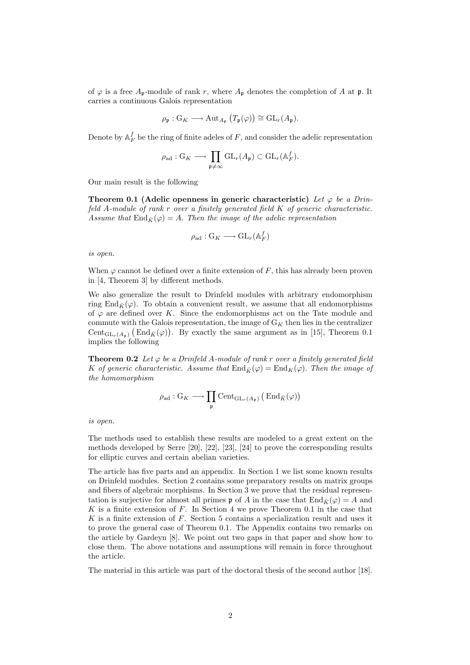of  $\varphi$  is a free  $A_{\mathfrak{p}}$ -module of rank r, where  $A_{\mathfrak{p}}$  denotes the completion of A at  $\mathfrak{p}$ . It carries a continuous Galois representation

$$
\rho_{\mathfrak{p}}: G_K \longrightarrow \mathrm{Aut}_{A_{\mathfrak{p}}}\left(T_{\mathfrak{p}}(\varphi)\right) \cong \mathrm{GL}_r(A_{\mathfrak{p}}).
$$

Denote by  $\mathbb{A}_F^f$  be the ring of finite adeles of F, and consider the adelic representation

$$
\rho_{\mathrm{ad}}: \mathrm{G}_K \longrightarrow \prod_{\mathfrak{p} \neq \infty} \mathrm{GL}_r(A_{\mathfrak{p}}) \subset \mathrm{GL}_r(\mathbb{A}_F^f).
$$

Our main result is the following

Theorem 0.1 (Adelic openness in generic characteristic) Let  $\varphi$  be a Drinfeld A-module of rank r over a finitely generated field K of generic characteristic. Assume that  $\text{End}_{\bar{K}}(\varphi) = A$ . Then the image of the adelic representation

$$
\rho_{\mathrm{ad}} : \mathrm{G}_K \longrightarrow \mathrm{GL}_r(\mathbb{A}_F^f)
$$

is open.

When  $\varphi$  cannot be defined over a finite extension of F, this has already been proven in [4, Theorem 3] by different methods.

We also generalize the result to Drinfeld modules with arbitrary endomorphism ring End<sub> $\bar{K}(\varphi)$ </sub>. To obtain a convenient result, we assume that all endomorphisms of  $\varphi$  are defined over K. Since the endomorphisms act on the Tate module and commute with the Galois representation, the image of  $G_K$  then lies in the centralizer Cent<sub>GLr</sub>(A<sub>p</sub>) (End<sub>K</sub> $(\varphi)$ ). By exactly the same argument as in [15], Theorem 0.1 implies the following

**Theorem 0.2** Let  $\varphi$  be a Drinfeld A-module of rank r over a finitely generated field K of generic characteristic. Assume that  $\text{End}_{\bar{K}}(\varphi) = \text{End}_{K}(\varphi)$ . Then the image of the homomorphism

$$
\rho_{\mathrm{ad}}:G_K\longrightarrow \prod_{\mathfrak{p}}\mathrm{Cent}_{\mathrm{GL}_r(A_{\mathfrak{p}})}\left(\mathrm{End}_{\bar{K}}(\varphi)\right)
$$

is open.

The methods used to establish these results are modeled to a great extent on the methods developed by Serre [20], [22], [23], [24] to prove the corresponding results for elliptic curves and certain abelian varieties.

The article has five parts and an appendix. In Section 1 we list some known results on Drinfeld modules. Section 2 contains some preparatory results on matrix groups and fibers of algebraic morphisms. In Section 3 we prove that the residual representation is surjective for almost all primes  $\mathfrak p$  of A in the case that  $\text{End}_{\bar K}(\varphi) = A$  and K is a finite extension of  $F$ . In Section 4 we prove Theorem 0.1 in the case that K is a finite extension of F. Section 5 contains a specialization result and uses it to prove the general case of Theorem 0.1. The Appendix contains two remarks on the article by Gardeyn [8]. We point out two gaps in that paper and show how to close them. The above notations and assumptions will remain in force throughout the article.

The material in this article was part of the doctoral thesis of the second author [18].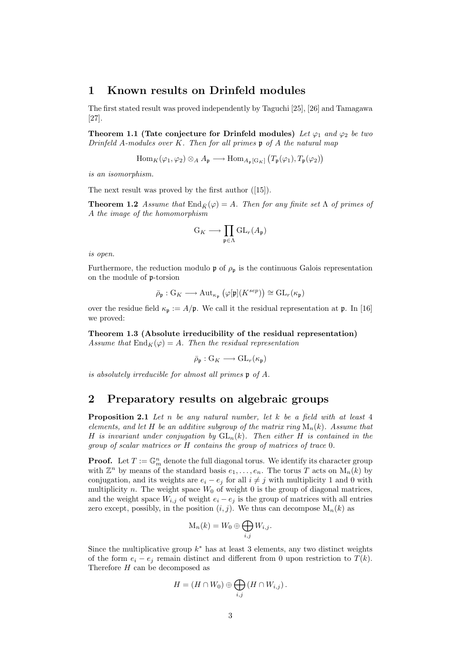## 1 Known results on Drinfeld modules

The first stated result was proved independently by Taguchi [25], [26] and Tamagawa [27].

Theorem 1.1 (Tate conjecture for Drinfeld modules) Let  $\varphi_1$  and  $\varphi_2$  be two Drinfeld A-modules over  $K$ . Then for all primes  $\mathfrak p$  of A the natural map

> $\text{Hom}_K(\varphi_1, \varphi_2) \otimes_A A_{\mathfrak{p}} \longrightarrow \text{Hom}_{A_{\mathfrak{p}}[G_K]}$ ¡  $T_{\mathfrak{p}}(\varphi_1), T_{\mathfrak{p}}(\varphi_2)$ ¢

is an isomorphism.

The next result was proved by the first author ([15]).

**Theorem 1.2** Assume that  $\text{End}_{\bar{K}}(\varphi) = A$ . Then for any finite set  $\Lambda$  of primes of A the image of the homomorphism

$$
\mathcal{G}_K \longrightarrow \prod_{\mathfrak{p} \in \Lambda} \mathrm{GL}_r(A_{\mathfrak{p}})
$$

is open.

Furthermore, the reduction modulo  $\mathfrak{p}$  of  $\rho_{\mathfrak{p}}$  is the continuous Galois representation on the module of p-torsion

$$
\bar{\rho}_{\mathfrak{p}}: \mathrm{G}_K \longrightarrow \mathrm{Aut}_{\kappa_{\mathfrak{p}}}\left(\varphi[\mathfrak{p}](K^{sep})\right) \cong \mathrm{GL}_r(\kappa_{\mathfrak{p}})
$$

over the residue field  $\kappa_p := A/p$ . We call it the residual representation at p. In [16] we proved:

Theorem 1.3 (Absolute irreducibility of the residual representation) Assume that  $\text{End}_K(\varphi) = A$ . Then the residual representation

$$
\bar{\rho}_{\mathfrak{p}}:G_K\longrightarrow GL_r(\kappa_{\mathfrak{p}})
$$

is absolutely irreducible for almost all primes p of A.

# 2 Preparatory results on algebraic groups

**Proposition 2.1** Let n be any natural number, let k be a field with at least  $4$ elements, and let H be an additive subgroup of the matrix ring  $M_n(k)$ . Assume that H is invariant under conjugation by  $GL_n(k)$ . Then either H is contained in the group of scalar matrices or H contains the group of matrices of trace 0.

**Proof.** Let  $T := \mathbb{G}_m^n$  denote the full diagonal torus. We identify its character group with  $\mathbb{Z}^n$  by means of the standard basis  $e_1, \ldots, e_n$ . The torus T acts on  $M_n(k)$  by conjugation, and its weights are  $e_i - e_j$  for all  $i \neq j$  with multiplicity 1 and 0 with multiplicity n. The weight space  $W_0$  of weight 0 is the group of diagonal matrices, and the weight space  $W_{i,j}$  of weight  $e_i - e_j$  is the group of matrices with all entries zero except, possibly, in the position  $(i, j)$ . We thus can decompose  $M_n(k)$  as

$$
\mathrm{M}_n(k) = W_0 \oplus \bigoplus_{i,j} W_{i,j}.
$$

Since the multiplicative group  $k^*$  has at least 3 elements, any two distinct weights of the form  $e_i - e_j$  remain distinct and different from 0 upon restriction to  $T(k)$ . Therefore H can be decomposed as

$$
H = (H \cap W_0) \oplus \bigoplus_{i,j} (H \cap W_{i,j}).
$$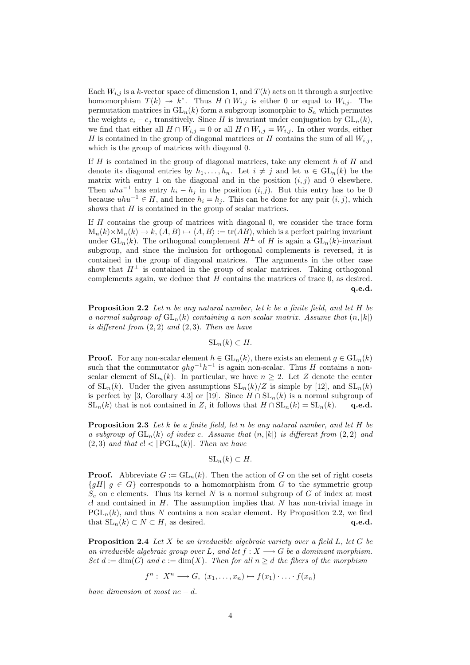Each  $W_{i,j}$  is a k-vector space of dimension 1, and  $T(k)$  acts on it through a surjective homomorphism  $T(k) \rightarrow k^*$ . Thus  $H \cap W_{i,j}$  is either 0 or equal to  $W_{i,j}$ . The permutation matrices in  $GL_n(k)$  form a subgroup isomorphic to  $S_n$  which permutes the weights  $e_i - e_j$  transitively. Since H is invariant under conjugation by  $GL_n(k)$ , we find that either all  $H \cap W_{i,j} = 0$  or all  $H \cap W_{i,j} = W_{i,j}$ . In other words, either H is contained in the group of diagonal matrices or H contains the sum of all  $W_{i,j}$ , which is the group of matrices with diagonal 0.

If  $H$  is contained in the group of diagonal matrices, take any element h of  $H$  and denote its diagonal entries by  $h_1, \ldots, h_n$ . Let  $i \neq j$  and let  $u \in GL_n(k)$  be the matrix with entry 1 on the diagonal and in the position  $(i, j)$  and 0 elsewhere. Then  $uhu^{-1}$  has entry  $h_i - h_j$  in the position  $(i, j)$ . But this entry has to be 0 because  $uhu^{-1} \in H$ , and hence  $h_i = h_j$ . This can be done for any pair  $(i, j)$ , which shows that H is contained in the group of scalar matrices.

If  $H$  contains the group of matrices with diagonal 0, we consider the trace form  $M_n(k) \times M_n(k) \to k$ ,  $(A, B) \to \langle A, B \rangle := \text{tr}(AB)$ , which is a perfect pairing invariant under  $GL_n(k)$ . The orthogonal complement  $H^{\perp}$  of H is again a  $GL_n(k)$ -invariant subgroup, and since the inclusion for orthogonal complements is reversed, it is contained in the group of diagonal matrices. The arguments in the other case show that  $H^{\perp}$  is contained in the group of scalar matrices. Taking orthogonal complements again, we deduce that H contains the matrices of trace 0, as desired. q.e.d.

**Proposition 2.2** Let n be any natural number, let k be a finite field, and let H be a normal subgroup of  $GL_n(k)$  containing a non scalar matrix. Assume that  $(n, |k|)$ is different from  $(2, 2)$  and  $(2, 3)$ . Then we have

$$
SL_n(k) \subset H.
$$

**Proof.** For any non-scalar element  $h \in GL_n(k)$ , there exists an element  $g \in GL_n(k)$ such that the commutator  $ghg^{-1}h^{-1}$  is again non-scalar. Thus H contains a nonscalar element of  $SL_n(k)$ . In particular, we have  $n \geq 2$ . Let Z denote the center of  $SL_n(k)$ . Under the given assumptions  $SL_n(k)/Z$  is simple by [12], and  $SL_n(k)$ is perfect by [3, Corollary 4.3] or [19]. Since  $H \cap SL_n(k)$  is a normal subgroup of  $SL_n(k)$  that is not contained in Z, it follows that  $H \cap SL_n(k) = SL_n(k)$ . q.e.d.

**Proposition 2.3** Let k be a finite field, let n be any natural number, and let H be a subgroup of  $GL_n(k)$  of index c. Assume that  $(n, |k|)$  is different from  $(2, 2)$  and  $(2,3)$  and that  $c! < |PGL_n(k)|$ . Then we have

$$
SL_n(k) \subset H.
$$

**Proof.** Abbreviate  $G := GL_n(k)$ . Then the action of G on the set of right cosets  $\{qH \mid q \in G\}$  corresponds to a homomorphism from G to the symmetric group  $S_c$  on c elements. Thus its kernel N is a normal subgroup of G of index at most  $c!$  and contained in  $H$ . The assumption implies that  $N$  has non-trivial image in  $PGL_n(k)$ , and thus N contains a non scalar element. By Proposition 2.2, we find that  $SL_n(k) \subset N \subset H$ , as desired. q.e.d.

**Proposition 2.4** Let X be an irreducible algebraic variety over a field  $L$ , let G be an irreducible algebraic group over L, and let  $f: X \longrightarrow G$  be a dominant morphism. Set  $d := \dim(G)$  and  $e := \dim(X)$ . Then for all  $n \geq d$  the fibers of the morphism

$$
f^n: X^n \longrightarrow G, (x_1, \ldots, x_n) \mapsto f(x_1) \cdot \ldots \cdot f(x_n)
$$

have dimension at most ne  $- d$ .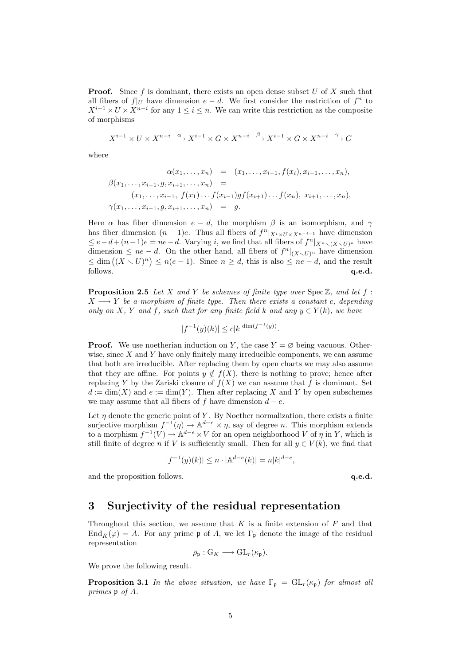**Proof.** Since f is dominant, there exists an open dense subset  $U$  of  $X$  such that all fibers of  $f|_U$  have dimension  $e - d$ . We first consider the restriction of  $f^n$  to  $X^{i-1} \times U \times X^{n-i}$  for any  $1 \leq i \leq n$ . We can write this restriction as the composite of morphisms

$$
X^{i-1} \times U \times X^{n-i} \xrightarrow{\alpha} X^{i-1} \times G \times X^{n-i} \xrightarrow{\beta} X^{i-1} \times G \times X^{n-i} \xrightarrow{\gamma} G
$$

where

$$
\alpha(x_1, \ldots, x_n) = (x_1, \ldots, x_{i-1}, f(x_i), x_{i+1}, \ldots, x_n),
$$
  
\n
$$
\beta(x_1, \ldots, x_{i-1}, g, x_{i+1}, \ldots, x_n) =
$$
  
\n
$$
(x_1, \ldots, x_{i-1}, f(x_1) \ldots f(x_{i-1}) g f(x_{i+1}) \ldots f(x_n), x_{i+1}, \ldots, x_n),
$$
  
\n
$$
\gamma(x_1, \ldots, x_{i-1}, g, x_{i+1}, \ldots, x_n) = g.
$$

Here  $\alpha$  has fiber dimension  $e - d$ , the morphism  $\beta$  is an isomorphism, and  $\gamma$ has fiber dimension  $(n-1)e$ . Thus all fibers of  $f^n|_{X^i \times U \times X^{n-i-1}}$  have dimension  $\leq e-d+(n-1)e=ne-d$ . Varying *i*, we find that all fibers of  $f^{n}|_{X^{n}\setminus (X\setminus U)^{n}}$  have dimension  $\leq ne-d$ . On the other hand, all fibers of  $f^{n}|_{(X\setminus U)^{n}}$  have dimension  $\lim_{n \to \infty} \frac{z}{n} = a$ . On the other hand, an interest of  $f(x, \forall x)^n$  have dimension  $\leq \dim ((X \setminus U)^n) \leq n(e-1)$ . Since  $n \geq d$ , this is also  $\leq ne-d$ , and the result  $\mathbf{q.e.d.}$ 

**Proposition 2.5** Let X and Y be schemes of finite type over  $Spec \mathbb{Z}$ , and let f:  $X \longrightarrow Y$  be a morphism of finite type. Then there exists a constant c, depending only on X, Y and f, such that for any finite field k and any  $y \in Y(k)$ , we have

$$
|f^{-1}(y)(k)| \le c|k|^{\dim(f^{-1}(y))}.
$$

**Proof.** We use noetherian induction on Y, the case  $Y = \emptyset$  being vacuous. Otherwise, since  $X$  and  $Y$  have only finitely many irreducible components, we can assume that both are irreducible. After replacing them by open charts we may also assume that they are affine. For points  $y \notin f(X)$ , there is nothing to prove; hence after replacing Y by the Zariski closure of  $f(X)$  we can assume that f is dominant. Set  $d := \dim(X)$  and  $e := \dim(Y)$ . Then after replacing X and Y by open subschemes we may assume that all fibers of f have dimension  $d - e$ .

Let  $\eta$  denote the generic point of Y. By Noether normalization, there exists a finite surjective morphism  $f^{-1}(\eta) \to \mathbb{A}^{d-e} \times \eta$ , say of degree *n*. This morphism extends to a morphism  $f^{-1}(V) \to \mathbb{A}^{d-e} \times V$  for an open neighborhood V of  $\eta$  in Y, which is still finite of degree n if V is sufficiently small. Then for all  $y \in V(k)$ , we find that

$$
|f^{-1}(y)(k)| \le n \cdot |\mathbb{A}^{d-e}(k)| = n|k|^{d-e},
$$

and the proposition follows.  $q.e.d.$ 

### 3 Surjectivity of the residual representation

Throughout this section, we assume that  $K$  is a finite extension of  $F$  and that  $\text{End}_{\bar{K}}(\varphi) = A$ . For any prime p of A, we let  $\Gamma_{\mathfrak{p}}$  denote the image of the residual representation

$$
\bar{\rho}_{\mathfrak{p}}:G_K\longrightarrow GL_r(\kappa_{\mathfrak{p}}).
$$

We prove the following result.

**Proposition 3.1** In the above situation, we have  $\Gamma_p = GL_r(\kappa_p)$  for almost all primes p of A.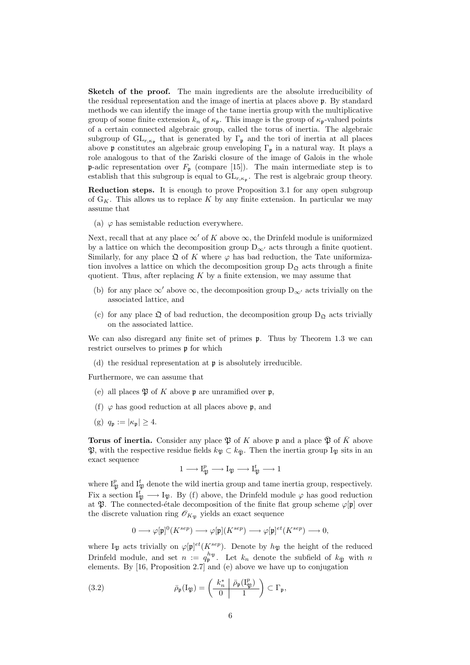Sketch of the proof. The main ingredients are the absolute irreducibility of the residual representation and the image of inertia at places above p. By standard methods we can identify the image of the tame inertia group with the multiplicative group of some finite extension  $k_n$  of  $\kappa_p$ . This image is the group of  $\kappa_p$ -valued points of a certain connected algebraic group, called the torus of inertia. The algebraic subgroup of  $GL_{r,\kappa_p}$  that is generated by  $\Gamma_p$  and the tori of inertia at all places above p constitutes an algebraic group enveloping  $\Gamma_p$  in a natural way. It plays a role analogous to that of the Zariski closure of the image of Galois in the whole **p**-adic representation over  $F_p$  (compare [15]). The main intermediate step is to establish that this subgroup is equal to  $GL_{r,\kappa_p}$ . The rest is algebraic group theory.

Reduction steps. It is enough to prove Proposition 3.1 for any open subgroup of  $G_K$ . This allows us to replace K by any finite extension. In particular we may assume that

(a)  $\varphi$  has semistable reduction everywhere.

Next, recall that at any place  $\infty'$  of K above  $\infty$ , the Drinfeld module is uniformized by a lattice on which the decomposition group  $D_{\infty}$  acts through a finite quotient. Similarly, for any place  $\mathfrak Q$  of K where  $\varphi$  has bad reduction, the Tate uniformization involves a lattice on which the decomposition group  $D_{\mathfrak{Q}}$  acts through a finite quotient. Thus, after replacing  $K$  by a finite extension, we may assume that

- (b) for any place  $\infty'$  above  $\infty$ , the decomposition group  $D_{\infty'}$  acts trivially on the associated lattice, and
- (c) for any place  $\mathfrak{Q}$  of bad reduction, the decomposition group  $D_{\mathfrak{Q}}$  acts trivially on the associated lattice.

We can also disregard any finite set of primes  $\mathfrak{p}$ . Thus by Theorem 1.3 we can restrict ourselves to primes p for which

(d) the residual representation at p is absolutely irreducible.

Furthermore, we can assume that

- (e) all places  $\mathfrak P$  of K above p are unramified over p,
- (f)  $\varphi$  has good reduction at all places above **p**, and
- (g)  $q_{\mathfrak{p}} := |\kappa_{\mathfrak{p}}| \geq 4.$

**Torus of inertia.** Consider any place  $\mathfrak{P}$  of K above p and a place  $\mathfrak{P}$  of K above  $\mathfrak{P}$ , with the respective residue fields  $k_{\mathfrak{P}} \subset k_{\overline{\mathfrak{P}}}$ . Then the inertia group I<sub>P</sub> sits in an exact sequence

$$
1\longrightarrow I^p_{\mathfrak{P}}\longrightarrow I_{\mathfrak{P}}\longrightarrow I^t_{\mathfrak{P}}\longrightarrow 1
$$

where  $I_{\mathfrak{P}}^p$  and  $I_{\mathfrak{P}}^t$  denote the wild inertia group and tame inertia group, respectively. Fix a section  $I_{\mathfrak{P}}^t \longrightarrow I_{\mathfrak{P}}$ . By (f) above, the Drinfeld module  $\varphi$  has good reduction at  $\mathfrak{P}$ . The connected-étale decomposition of the finite flat group scheme  $\varphi[\mathfrak{p}]$  over the discrete valuation ring  $\mathscr{O}_{K_{\mathfrak{P}}}$  yields an exact sequence

$$
0\longrightarrow \varphi[\mathfrak{p}]^0(K^{sep})\longrightarrow \varphi[\mathfrak{p}](K^{sep})\longrightarrow \varphi[\mathfrak{p}]^{et}(K^{sep})\longrightarrow 0,
$$

where  $I_{\mathfrak{P}}$  acts trivially on  $\varphi[\mathfrak{p}]^{et}(K^{sep})$ . Denote by  $h_{\mathfrak{P}}$  the height of the reduced Drinfeld module, and set  $n := q_{\mathfrak{p}}^{h_{\mathfrak{P}}}$ . Let  $k_n$  denote the subfield of  $k_{\bar{\mathfrak{P}}}$  with n elements. By [16, Proposition 2.7] and (e) above we have up to conjugation

(3.2) 
$$
\bar{\rho}_{\mathfrak{p}}(I_{\mathfrak{P}}) = \left(\begin{array}{c|c} k_n^* & \bar{\rho}_{\mathfrak{p}}(I_{\mathfrak{P}}^p) \\ \hline 0 & 1 \end{array}\right) \subset \Gamma_{\mathfrak{p}},
$$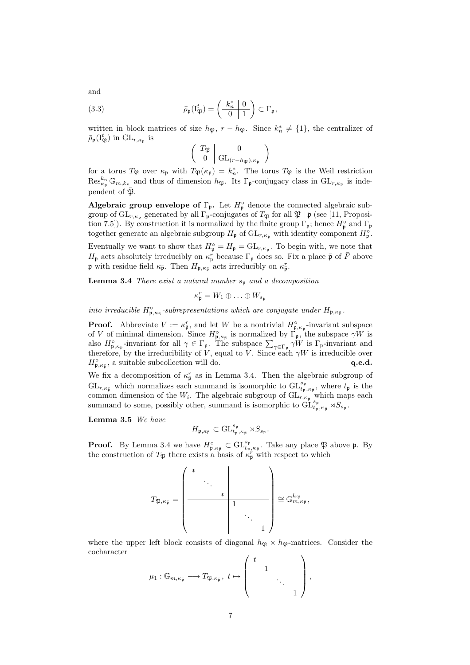and

(3.3) 
$$
\bar{\rho}_{\mathfrak{p}}(\mathcal{I}_{\mathfrak{P}}^t) = \left(\begin{array}{c|c} k_n^* & 0 \\ \hline 0 & 1 \end{array}\right) \subset \Gamma_{\mathfrak{p}},
$$

written in block matrices of size  $h_{\mathfrak{P}}$ ,  $r - h_{\mathfrak{P}}$ . Since  $k_n^* \neq \{1\}$ , the centralizer of  $\bar{\rho}_{\mathfrak{p}}(\mathrm{I}_{\mathfrak{P}}^t)$  in  $\mathrm{GL}_{r,\kappa_{\mathfrak{p}}}$  is  $\overline{a}$  $\mathbf{r}$ 

$$
\left(\begin{array}{c|c}\nT_{\mathfrak{P}} & 0 \\
\hline\n0 & \text{GL}_{(r-h_{\mathfrak{P}}),\kappa_{\mathfrak{p}}}\n\end{array}\right)
$$

for a torus  $T_{\mathfrak{P}}$  over  $\kappa_{\mathfrak{p}}$  with  $T_{\mathfrak{P}}(\kappa_{\mathfrak{p}}) = k_n^*$ . The torus  $T_{\mathfrak{P}}$  is the Weil restriction  $\text{Res}_{\kappa_{\mathfrak{p}}}^{k_n} \mathbb{G}_{m,k_n}$  and thus of dimension  $h_{\mathfrak{P}}$ . Its  $\Gamma_{\mathfrak{p}}$ -conjugacy class in  $\text{GL}_{r,\kappa_{\mathfrak{p}}}$  is independent of  $\overline{\mathfrak{B}}$ .

Algebraic group envelope of  $\Gamma_{\mathfrak{p}}$ . Let  $H_{\mathfrak{p}}^{\circ}$  denote the connected algebraic subgroup of  $\mathrm{GL}_{r,\kappa_{\frak{p}}}$  generated by all  $\Gamma_{\frak{p}}$ -conjugates of  $T_{\frak{P}}$  for all  $\frak{P} \mid \frak{p}$  (see [11, Proposition 7.5]). By construction it is normalized by the finite group  $\Gamma_{\mathfrak{p}}$ ; hence  $H_{\mathfrak{p}}^{\circ}$  and  $\Gamma_{\mathfrak{p}}$ together generate an algebraic subgroup  $H_{\mathfrak{p}}$  of  $\mathrm{GL}_{r,\kappa_{\mathfrak{p}}}$  with identity component  $H_{\mathfrak{p}}^{\circ}$ .

Eventually we want to show that  $H_{\mathfrak{p}}^{\circ} = H_{\mathfrak{p}} = GL_{r,\kappa_{\mathfrak{p}}}$ . To begin with, we note that  $H_{\frak{p}}$  acts absolutely irreducibly on  $\kappa_{\frak{p}}^r$  because  $\Gamma_{\frak{p}}$  does so. Fix a place  $\bar{\frak{p}}$  of  $\bar{F}$  above **p** with residue field  $\kappa_{\bar{\mathfrak{p}}}$ . Then  $H_{\mathfrak{p},\kappa_{\bar{\mathfrak{p}}}}$  acts irreducibly on  $\kappa_{\bar{\mathfrak{p}}}^r$ .

**Lemma 3.4** There exist a natural number  $s_p$  and a decomposition

$$
\kappa_{\overline{\mathfrak{p}}}^r = W_1 \oplus \ldots \oplus W_{s_{\mathfrak{p}}}
$$

into irreducible  $H_{\mathfrak{p},\kappa_{\bar{\mathfrak{p}}}}^{\circ}$ -subrepresentations which are conjugate under  $H_{\mathfrak{p},\kappa_{\bar{\mathfrak{p}}}}$ .

**Proof.** Abbreviate  $V := \kappa_{\overline{p}}^r$ , and let W be a nontrivial  $H_{\mathfrak{p}, \kappa_{\overline{p}}}^{\circ}$ -invariant subspace of V of minimal dimension. Since  $H_{\mathfrak{p},\kappa_{\bar{\mathfrak{p}}}}^{\circ}$  is normalized by  $\Gamma_{\mathfrak{p}},$  the subspace  $\gamma W$  is or v of minimal dimension. Since  $H_{\mathfrak{p},\kappa_{\bar{\mathfrak{p}}}}$  is normalized by  $1 \text{ p}$ , the subspace  $\gamma w$  is also  $H_{\mathfrak{p},\kappa_{\bar{\mathfrak{p}}}}^{\circ}$ -invariant for all  $\gamma \in \Gamma_{\mathfrak{p}}$ . The subspace  $\sum_{\gamma \in \Gamma_{\mathfrak{p}}} \gamma W$  is  $\Gamma$ therefore, by the irreducibility of V, equal to V. Since each  $\gamma W$  is irreducible over  $H_{\mathfrak{p},\kappa_{\bar{\mathfrak{p}}}}^{\circ}$ , a suitable subcollection will do.  $\qquad \qquad \mathbf{q.e.d.}$ 

We fix a decomposition of  $\kappa_{\bar{p}}^r$  as in Lemma 3.4. Then the algebraic subgroup of  $\text{GL}_{r,\kappa_{\bar{\mathfrak{p}}}}$  which normalizes each summand is isomorphic to  $\text{GL}_{t_{\mathfrak{p}},\kappa_{\bar{\mathfrak{p}}}}^{s_{\mathfrak{p}}}$ , where  $t_{\mathfrak{p}}$  is the common dimension of the  $W_i$ . The algebraic subgroup of  $\operatorname{GL}_{r,\kappa_{\bar{\mathfrak{p}}}}$  which maps each summand to some, possibly other, summand is isomorphic to  $\overline{GL}^{s_p}_{t_p,\kappa_{\bar{p}}}\rtimes S_{s_p}$ .

Lemma 3.5 We have

$$
H_{\mathfrak{p}, \kappa_{\bar{\mathfrak{p}}}} \subset \operatorname{GL}_{t_{\mathfrak{p}}, \kappa_{\bar{\mathfrak{p}}}}^{s_{\mathfrak{p}}} \rtimes S_{s_{\mathfrak{p}}}.
$$

**Proof.** By Lemma 3.4 we have  $H_{\mathfrak{p},\kappa_{\bar{\mathfrak{p}}}}^{\circ} \subset \mathrm{GL}_{t_{\mathfrak{p}},\kappa_{\bar{\mathfrak{p}}}}^{s_{\mathfrak{p}}}$ . Take any place  $\mathfrak{P}$  above  $\mathfrak{p}$ . By the construction of  $T_{\mathfrak{P}}$  there exists a basis of  $\kappa_{\overline{p}}^r$  with respect to which

$$
T_{\mathfrak{P}, \kappa_{\bar{\mathfrak{p}}}} = \left(\begin{array}{cccc} * & & & & \\ & \ddots & & & \\ & & * & & \\ & & & 1 & \\ & & & & 1 \end{array}\right) \cong \mathbb{G}_{m, \kappa_{\bar{\mathfrak{p}}}}^{h_{\mathfrak{P}}},
$$

where the upper left block consists of diagonal  $h_{\mathfrak{P}} \times h_{\mathfrak{P}}$ -matrices. Consider the cocharacter  $\int t$  $\mathbf{r}$ 

$$
\mu_1: \mathbb{G}_{m,\kappa_{\bar{\mathfrak{p}}}} \longrightarrow T_{\mathfrak{P},\kappa_{\bar{\mathfrak{p}}}},\ t \mapsto \begin{pmatrix} t & & & \\ & 1 & & \\ & & \ddots & \\ & & & 1 \end{pmatrix},
$$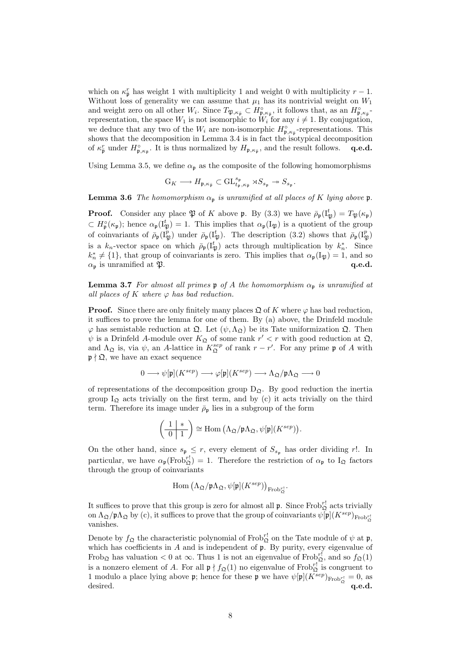which on  $\kappa_{\bar{p}}^r$  has weight 1 with multiplicity 1 and weight 0 with multiplicity  $r-1$ . Without loss of generality we can assume that  $\mu_1$  has its nontrivial weight on  $W_1$ and weight zero on all other  $W_i$ . Since  $T_{\mathfrak{P},\kappa_{\bar{\mathfrak{p}}}} \subset H_{\mathfrak{p},\kappa_{\bar{\mathfrak{p}}}}^{\circ}$ , it follows that, as an  $H_{\mathfrak{p},\kappa_{\bar{\mathfrak{p}}}}^{\circ}$ . representation, the space  $W_1$  is not isomorphic to  $W_i$  for any  $i \neq 1$ . By conjugation, we deduce that any two of the  $W_i$  are non-isomorphic  $H_{\mathfrak{p},\kappa_{\bar{\mathfrak{p}}}}^{\circ}$ -representations. This shows that the decomposition in Lemma 3.4 is in fact the isotypical decomposition of  $\kappa_{\bar{\mathfrak{p}}}^r$  under  $H_{\mathfrak{p},\kappa_{\bar{\mathfrak{p}}}}$ . It is thus normalized by  $H_{\mathfrak{p},\kappa_{\bar{\mathfrak{p}}}}$ , and the result follows. **q.e.d.** 

Using Lemma 3.5, we define  $\alpha_{p}$  as the composite of the following homomorphisms

$$
\mathbf{G}_K \longrightarrow H_{\mathfrak{p},\kappa_{\bar{\mathfrak{p}}}} \subset \operatorname{GL}_{t_{\mathfrak{p}},\kappa_{\bar{\mathfrak{p}}}}^{s_{\mathfrak{p}}} \rtimes S_{s_{\mathfrak{p}}} \twoheadrightarrow S_{s_{\mathfrak{p}}}.
$$

**Lemma 3.6** The homomorphism  $\alpha_p$  is unramified at all places of K lying above p.

**Proof.** Consider any place  $\mathfrak{P}$  of K above  $\mathfrak{p}$ . By (3.3) we have  $\bar{\rho}_{\mathfrak{p}}(I_{\mathfrak{P}}^t) = T_{\mathfrak{P}}(\kappa_{\mathfrak{p}})$  $\subset H_{\mathfrak{p}}^{\circ}(\kappa_{\mathfrak{p}})$ ; hence  $\alpha_{\mathfrak{p}}(I_{\mathfrak{P}}^t) = 1$ . This implies that  $\alpha_{\mathfrak{p}}(I_{\mathfrak{P}})$  is a quotient of the group of coinvariants of  $\bar{\rho}_p(I_{\mathfrak{P}}^p)$  under  $\bar{\rho}_p(I_{\mathfrak{P}}^t)$ . The description (3.2) shows that  $\bar{\rho}_p(I_{\mathfrak{P}}^p)$ is a  $k_n$ -vector space on which  $\bar{\rho}_p(I_{\mathfrak{P}}^t)$  acts through multiplication by  $k_n^*$ . Since  $k_n^* \neq \{1\}$ , that group of coinvariants is zero. This implies that  $\alpha_{\mathfrak{p}}(I_{\mathfrak{P}}) = 1$ , and so  $\alpha_{\rm p}$  is unramified at  $\mathfrak{P}$ .  $q.e.d.$ 

**Lemma 3.7** For almost all primes  $\mathfrak{p}$  of A the homomorphism  $\alpha_{\mathfrak{p}}$  is unramified at all places of K where  $\varphi$  has bad reduction.

**Proof.** Since there are only finitely many places  $\mathfrak{Q}$  of K where  $\varphi$  has bad reduction, it suffices to prove the lemma for one of them. By (a) above, the Drinfeld module  $\varphi$  has semistable reduction at  $\mathfrak{Q}$ . Let  $(\psi, \Lambda_{\mathfrak{Q}})$  be its Tate uniformization  $\mathfrak{Q}$ . Then  $\psi$  is a Drinfeld A-module over  $K_{\mathfrak{Q}}$  of some rank  $r' < r$  with good reduction at  $\mathfrak{Q}$ , and  $\Lambda_{\mathfrak{Q}}$  is, via  $\psi$ , an A-lattice in  $K_{\mathfrak{Q}}^{sep}$  of rank  $r-r'$ . For any prime p of A with  $\mathfrak{p} \nmid \mathfrak{Q}$ , we have an exact sequence

$$
0\longrightarrow \psi[\mathfrak{p}](K^{sep})\longrightarrow \varphi[\mathfrak{p}](K^{sep})\longrightarrow \Lambda_{\mathfrak{Q}}/\mathfrak{p}\Lambda_{\mathfrak{Q}}\longrightarrow 0
$$

of representations of the decomposition group  $D_{\mathfrak{D}}$ . By good reduction the inertia group  $I_{\mathfrak{Q}}$  acts trivially on the first term, and by (c) it acts trivially on the third term. Therefore its image under  $\bar{\rho}_{\mathfrak{p}}$  lies in a subgroup of the form

$$
\left(\begin{array}{c|c}\n1 & * \\
\hline\n0 & 1\n\end{array}\right) \cong \text{Hom}\left(\Lambda_{\mathfrak{Q}}/\mathfrak{p}\Lambda_{\mathfrak{Q}}, \psi[\mathfrak{p}](K^{sep})\right).
$$

On the other hand, since  $s_{\mathfrak{p}} \leq r$ , every element of  $S_{s_{\mathfrak{p}}}$  has order dividing r!. In particular, we have  $\alpha_{\mathfrak{p}}(\text{Frob}_{\mathfrak{Q}}^{r!}) = 1$ . Therefore the restriction of  $\alpha_{\mathfrak{p}}$  to  $I_{\mathfrak{Q}}$  factors through the group of coinvariants

$$
\mathrm{Hom}\left(\Lambda_{\mathfrak{Q}}/\mathfrak{p}\Lambda_{\mathfrak{Q}},\psi[\mathfrak{p}](K^{sep})\right)_{\mathrm{Frob}^{r!}_\mathfrak{Q}}.
$$

It suffices to prove that this group is zero for almost all  $\mathfrak{p}$ . Since  $\mathrm{Frob}^{r!}_{\mathfrak{Q}}$  acts trivially on  $\Lambda_{\mathfrak{Q}}/\mathfrak{p}\Lambda_{\mathfrak{Q}}$  by (c), it suffices to prove that the group of coinvariants  $\psi[\mathfrak{p}](K^{sep})_{\mathrm{Frob}^{rl}_{\mathfrak{Q}}}$ vanishes.

Denote by  $f_{\mathfrak{Q}}$  the characteristic polynomial of Frob<sup>r!</sup> on the Tate module of  $\psi$  at  $\mathfrak{p}$ , which has coefficients in  $A$  and is independent of  $\mathfrak p$ . By purity, every eigenvalue of Frob<sub> $\Omega$ </sub> has valuation < 0 at  $\infty$ . Thus 1 is not an eigenvalue of Frob<sub>2</sub><sup>rf</sup>, and so  $f_{\Omega}(1)$ is a nonzero element of A. For all  $\mathfrak{p} \nmid f_{\mathfrak{Q}}(1)$  no eigenvalue of Fro $b_{\mathfrak{Q}}^{r!}$  is congruent to 1 modulo a place lying above **p**; hence for these **p** we have  $\psi[\mathfrak{p}](K^{sep})_{\text{Frob}_{\mathfrak{Q}}^{r!}} = 0$ , as desired.  $q.e.d.$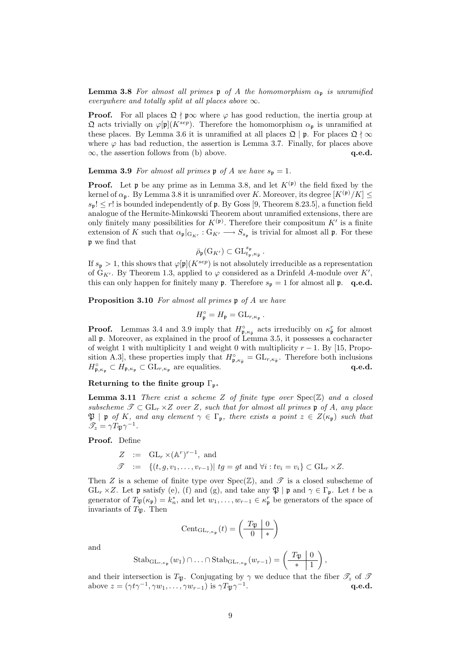**Lemma 3.8** For almost all primes  $\mathfrak{p}$  of A the homomorphism  $\alpha_{\mathfrak{p}}$  is unramified everywhere and totally split at all places above  $\infty$ .

**Proof.** For all places  $\mathfrak{Q} \nmid \mathfrak{p} \infty$  where  $\varphi$  has good reduction, the inertia group at  $\mathfrak Q$  acts trivially on  $\varphi[\mathfrak p](K^{sep})$ . Therefore the homomorphism  $\alpha_{\mathfrak p}$  is unramified at these places. By Lemma 3.6 it is unramified at all places  $\mathfrak{Q} \mid \mathfrak{p}$ . For places  $\mathfrak{Q} \nmid \infty$ where  $\varphi$  has bad reduction, the assertion is Lemma 3.7. Finally, for places above  $\infty$ , the assertion follows from (b) above.  $q.e.d.$ 

**Lemma 3.9** For almost all primes  $\mathfrak{p}$  of A we have  $s_{\mathfrak{p}} = 1$ .

**Proof.** Let  $\mathfrak p$  be any prime as in Lemma 3.8, and let  $K^{(\mathfrak p)}$  the field fixed by the kernel of  $\alpha_p$ . By Lemma 3.8 it is unramified over K. Moreover, its degree  $[K^{(p)}/K] \leq$  $s_p! \leq r!$  is bounded independently of p. By Goss [9, Theorem 8.23.5], a function field analogue of the Hermite-Minkowski Theorem about unramified extensions, there are only finitely many possibilities for  $K^{(\mathfrak{p})}$ . Therefore their compositum  $K'$  is a finite extension of K such that  $\alpha_{\mathfrak{p}}|_{G_{K'}}: G_{K'} \longrightarrow S_{s_{\mathfrak{p}}}$  is trivial for almost all  $\mathfrak{p}$ . For these p we find that

$$
\bar{\rho}_{\mathfrak{p}}(\mathrm{G}_{K'}) \subset \mathrm{GL}_{t_{\mathfrak{p}}, \kappa_{\bar{\mathfrak{p}}}}^{s_{\mathfrak{p}}}.
$$

If  $s_p > 1$ , this shows that  $\varphi[p](K^{sep})$  is not absolutely irreducible as a representation of  $G_{K'}$ . By Theorem 1.3, applied to  $\varphi$  considered as a Drinfeld A-module over K', this can only happen for finitely many  $\mathfrak{p}$ . Therefore  $s_{\mathfrak{p}} = 1$  for almost all  $\mathfrak{p}$ . q.e.d.

Proposition 3.10 For almost all primes  $\mathfrak p$  of A we have

$$
H_{\mathfrak{p}}^{\circ} = H_{\mathfrak{p}} = GL_{r,\kappa_{\mathfrak{p}}}.
$$

**Proof.** Lemmas 3.4 and 3.9 imply that  $H_{\mathfrak{p},\kappa_{\bar{\mathfrak{p}}}}^{\circ}$  acts irreducibly on  $\kappa_{\bar{\mathfrak{p}}}^r$  for almost all p. Moreover, as explained in the proof of Lemma 3.5, it possesses a cocharacter of weight 1 with multiplicity 1 and weight 0 with multiplicity  $r - 1$ . By [15, Proposition A.3], these properties imply that  $H_{\mathfrak{p},\kappa_{\bar{\mathfrak{p}}}}^{\circ} = GL_{r,\kappa_{\bar{\mathfrak{p}}}}$ . Therefore both inclusions  $H_{\mathfrak{p},\kappa_{\mathfrak{p}}}^{\circ} \subset H_{\mathfrak{p},\kappa_{\mathfrak{p}}} \subset \mathrm{GL}_{r,\kappa_{\mathfrak{p}}}$  are equalities.  $q.e.d.$ 

#### Returning to the finite group  $\Gamma_{\mathfrak{p}}$ .

**Lemma 3.11** There exist a scheme Z of finite type over  $Spec(\mathbb{Z})$  and a closed subscheme  $\mathscr{T} \subset GL_r \times Z$  over Z, such that for almost all primes p of A, any place  $\mathfrak{P}$  | p of K, and any element  $\gamma \in \Gamma_p$ , there exists a point  $z \in Z(\kappa_p)$  such that  $\mathscr{T}_z = \gamma T_{\mathfrak{P}} \gamma^{-1}.$ 

Proof. Define

$$
Z := GL_r \times (\mathbb{A}^r)^{r-1}, \text{ and}
$$
  

$$
\mathscr{T} := \{(t, g, v_1, \dots, v_{r-1}) | \text{ } tg = gt \text{ and } \forall i : tv_i = v_i\} \subset GL_r \times Z.
$$

Then Z is a scheme of finite type over  $Spec(\mathbb{Z})$ , and  $\mathscr{T}$  is a closed subscheme of  $GL_r \times Z$ . Let p satisfy (e), (f) and (g), and take any  $\mathfrak{P} \mid \mathfrak{p}$  and  $\gamma \in \Gamma_{\mathfrak{p}}$ . Let t be a generator of  $T_{\mathfrak{P}}(\kappa_{\mathfrak{p}}) = k_n^*$ , and let  $w_1, \ldots, w_{r-1} \in \kappa_{\mathfrak{p}}^r$  be generators of the space of invariants of  $T_{\mathfrak{B}}$ . Then

$$
Cent_{\mathrm{GL}_{r,\kappa_{\mathfrak{p}}}}(t)=\left(\begin{array}{c|c}T_{\mathfrak{P}} & 0\\ \hline 0 & \ast\end{array}\right)
$$

and

Stab<sub>GL<sub>r,\kappa\_p</sub></sub>
$$
(w_1) \cap ... \cap
$$
Stab<sub>GL<sub>r,\kappa\_p</sub></sub> $(w_{r-1}) = \left(\begin{array}{c|c} T_{\mathfrak{P}} & 0 \\ \hline * & 1 \end{array}\right),$ 

and their intersection is  $T_{\mathfrak{P}}$ . Conjugating by  $\gamma$  we deduce that the fiber  $\mathscr{T}_z$  of  $\mathscr{T}$ above  $z = (\gamma t \gamma^{-1}, \gamma w_1, \dots, \gamma w_{r-1})$  is  $\gamma T_{\mathfrak{P}} \gamma^{-1}$ . q.e.d.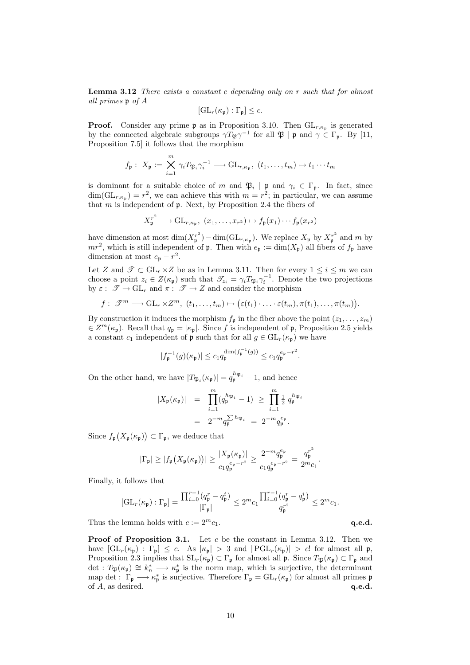**Lemma 3.12** There exists a constant c depending only on  $r$  such that for almost all primes p of A

$$
[\mathrm{GL}_r(\kappa_{\mathfrak{p}}):\Gamma_{\mathfrak{p}}]\leq c.
$$

**Proof.** Consider any prime  $\mathfrak{p}$  as in Proposition 3.10. Then  $GL_{r,\kappa_{\mathfrak{p}}}$  is generated by the connected algebraic subgroups  $\gamma T_{\mathfrak{P}} \gamma^{-1}$  for all  $\mathfrak{P} \mid \mathfrak{p}$  and  $\gamma \in \Gamma_{\mathfrak{p}}$ . By [11, Proposition 7.5] it follows that the morphism

$$
f_{\mathfrak{p}}: X_{\mathfrak{p}} := \bigtimes_{i=1}^{m} \gamma_{i} T_{\mathfrak{P}_{i}} \gamma_{i}^{-1} \longrightarrow \mathrm{GL}_{r,\kappa_{\mathfrak{p}}}, (t_{1},\ldots,t_{m}) \mapsto t_{1} \cdots t_{m}
$$

is dominant for a suitable choice of m and  $\mathfrak{P}_i \mid \mathfrak{p}$  and  $\gamma_i \in \Gamma_{\mathfrak{p}}$ . In fact, since  $\dim(\mathrm{GL}_{r,\kappa_p}) = r^2$ , we can achieve this with  $m = r^2$ ; in particular, we can assume that  $m$  is independent of  $\mathfrak p$ . Next, by Proposition 2.4 the fibers of

$$
X_{\mathfrak{p}}^{r^2} \longrightarrow \mathrm{GL}_{r,\kappa_{\mathfrak{p}}}, \ (x_1,\ldots,x_{r^2}) \mapsto f_{\mathfrak{p}}(x_1)\cdots f_{\mathfrak{p}}(x_{r^2})
$$

have dimension at most  $\dim(X_p^{r^2}) - \dim(\mathrm{GL}_{r,\kappa_p})$ . We replace  $X_\mathfrak{p}$  by  $X_p^{r^2}$  and m by  $mr^2$ , which is still independent of **p**. Then with  $e_p := \dim(X_p)$  all fibers of  $f_p$  have dimension at most  $e_p - r^2$ .

Let Z and  $\mathscr{T} \subset GL_r \times Z$  be as in Lemma 3.11. Then for every  $1 \leq i \leq m$  we can choose a point  $z_i \in Z(\kappa_{\mathfrak{p}})$  such that  $\mathscr{T}_{z_i} = \gamma_i T_{\mathfrak{P}_i} \gamma_i^{-1}$ . Denote the two projections by  $\varepsilon: \mathscr{T} \to GL_r$  and  $\pi: \mathscr{T} \to Z$  and consider the morphism

$$
f: \mathscr{T}^m \longrightarrow GL_r \times Z^m, (t_1, \ldots, t_m) \mapsto (\varepsilon(t_1) \cdot \ldots \cdot \varepsilon(t_m), \pi(t_1), \ldots, \pi(t_m)).
$$

By construction it induces the morphism  $f_{\mathfrak{p}}$  in the fiber above the point  $(z_1, \ldots, z_m)$  $\in Z^m(\kappa_{\mathfrak{p}})$ . Recall that  $q_{\mathfrak{p}} = |\kappa_{\mathfrak{p}}|$ . Since f is independent of  $\mathfrak{p}$ , Proposition 2.5 yields a constant  $c_1$  independent of **p** such that for all  $g \in GL_r(\kappa_p)$  we have

$$
|f_{\mathfrak{p}}^{-1}(g)(\kappa_{\mathfrak{p}})|\leq c_1q_{\mathfrak{p}}^{\dim(f_{\mathfrak{p}}^{-1}(g))}\leq c_1q_{\mathfrak{p}}^{e_{\mathfrak{p}}-r^2}.
$$

On the other hand, we have  $|T_{\mathfrak{P}_i}(\kappa_{\mathfrak{p}})| = q_{\mathfrak{p}}^{h_{\mathfrak{P}_i}} - 1$ , and hence

$$
|X_{\mathfrak{p}}(\kappa_{\mathfrak{p}})| = \prod_{i=1}^{m} (q_{\mathfrak{p}}^{h_{\mathfrak{P}_i}} - 1) \ge \prod_{i=1}^{m} \frac{1}{2} q_{\mathfrak{p}}^{h_{\mathfrak{P}_i}}
$$
  
=  $2^{-m} q_{\mathfrak{p}}^{\sum h_{\mathfrak{P}_i}} = 2^{-m} q_{\mathfrak{p}}^{e_{\mathfrak{p}}}.$ 

Since  $f_{\mathfrak{p}}$ ¡  $X_{\mathfrak{p}}(\kappa_{\mathfrak{p}})$ ¢  $\subset \Gamma_{\mathfrak{p}},$  we deduce that

$$
|\Gamma_{\mathfrak{p}}| \ge |f_{\mathfrak{p}}(X_{\mathfrak{p}}(\kappa_{\mathfrak{p}}))| \ge \frac{|X_{\mathfrak{p}}(\kappa_{\mathfrak{p}})|}{c_1 q_{\mathfrak{p}}^{e_{\mathfrak{p}} - r^2}} \ge \frac{2^{-m} q_{\mathfrak{p}}^{e_{\mathfrak{p}}}}{c_1 q_{\mathfrak{p}}^{e_{\mathfrak{p}} - r^2}} = \frac{q_{\mathfrak{p}}^{r^2}}{2^{m} c_1}.
$$

Finally, it follows that

$$
[\mathrm{GL}_r(\kappa_{\mathfrak{p}}):\Gamma_{\mathfrak{p}}] = \frac{\prod_{i=0}^{r-1} (q_{\mathfrak{p}}^r - q_{\mathfrak{p}}^i)}{|\Gamma_{\mathfrak{p}}|} \leq 2^m c_1 \frac{\prod_{i=0}^{r-1} (q_{\mathfrak{p}}^r - q_{\mathfrak{p}}^i)}{q_{\mathfrak{p}}^{r^2}} \leq 2^m c_1.
$$

Thus the lemma holds with  $c := 2^m c_1$ .  $q.e.d.$ 

**Proof of Proposition 3.1.** Let  $c$  be the constant in Lemma 3.12. Then we have  $|GL_r(\kappa_{\mathfrak{p}}): \Gamma_{\mathfrak{p}}| \leq c$ . As  $|\kappa_{\mathfrak{p}}| > 3$  and  $|PGL_r(\kappa_{\mathfrak{p}})| > c!$  for almost all  $\mathfrak{p}$ , Proposition 2.3 implies that  $SL_r(\kappa_p) \subset \Gamma_p$  for almost all p. Since  $T_{\mathfrak{P}}(\kappa_p) \subset \Gamma_p$  and det :  $T_{\mathfrak{P}}(\kappa_{\mathfrak{p}}) \cong k_n^* \longrightarrow \kappa_{\mathfrak{p}}^*$  is the norm map, which is surjective, the determinant map det :  $\Gamma_{\mathfrak{p}} \longrightarrow \kappa_{\mathfrak{p}}^*$  is surjective. Therefore  $\Gamma_{\mathfrak{p}} = GL_r(\kappa_{\mathfrak{p}})$  for almost all primes  $\mathfrak{p}$ of  $A$ , as desired.  $q.e.d.$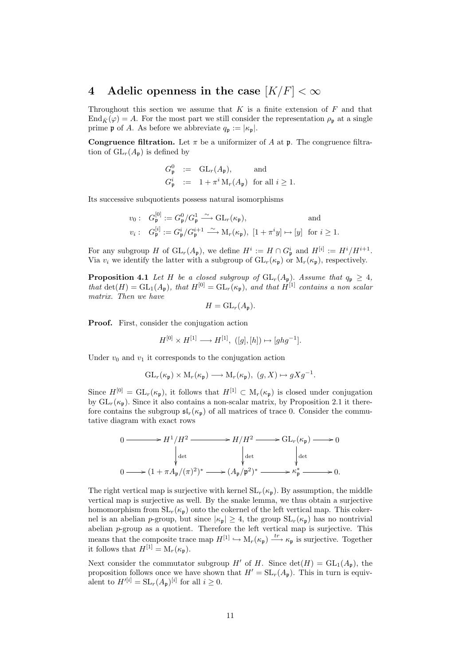# 4 Adelic openness in the case  $|K/F| < \infty$

Throughout this section we assume that  $K$  is a finite extension of  $F$  and that  $\text{End}_{\bar{K}}(\varphi) = A$ . For the most part we still consider the representation  $\rho_{p}$  at a single prime **p** of A. As before we abbreviate  $q_p := |\kappa_p|$ .

**Congruence filtration.** Let  $\pi$  be a uniformizer of A at  $\mathfrak{p}$ . The congruence filtration of  $GL_r(A_p)$  is defined by

$$
G_{\mathfrak{p}}^0 := GL_r(A_{\mathfrak{p}}), \quad \text{and}
$$
  

$$
G_{\mathfrak{p}}^i := 1 + \pi^i M_r(A_{\mathfrak{p}}) \text{ for all } i \ge 1.
$$

Its successive subquotients possess natural isomorphisms

$$
v_0: G_{\mathfrak{p}}^{[0]} := G_{\mathfrak{p}}^0/G_{\mathfrak{p}}^1 \xrightarrow{\sim} \text{GL}_r(\kappa_{\mathfrak{p}}), \quad \text{and}
$$
  

$$
v_i: G_{\mathfrak{p}}^{[i]} := G_{\mathfrak{p}}^i/G_{\mathfrak{p}}^{i+1} \xrightarrow{\sim} \text{M}_r(\kappa_{\mathfrak{p}}), [1 + \pi^i y] \mapsto [y] \text{ for } i \geq 1.
$$

For any subgroup H of  $\operatorname{GL}_r(A_{\mathfrak{p}})$ , we define  $H^i := H \cap G_{\mathfrak{p}}^i$  and  $H^{[i]} := H^i/H^{i+1}$ . Via  $v_i$  we identify the latter with a subgroup of  $GL_r(\kappa_p)$  or  $M_r(\kappa_p)$ , respectively.

**Proposition 4.1** Let H be a closed subgroup of  $GL_r(A_p)$ . Assume that  $q_p \geq 4$ , that  $\det(H) = GL_1(A_p)$ , that  $H^{[0]} = GL_r(\kappa_p)$ , and that  $H^{[1]}$  contains a non scalar matrix. Then we have

$$
H = \mathrm{GL}_r(A_{\mathfrak{p}}).
$$

Proof. First, consider the conjugation action

$$
H^{[0]} \times H^{[1]} \longrightarrow H^{[1]}, \ ([g], [h]) \mapsto [ghg^{-1}].
$$

Under  $v_0$  and  $v_1$  it corresponds to the conjugation action

$$
\mathrm{GL}_r(\kappa_{\mathfrak{p}}) \times \mathrm{M}_r(\kappa_{\mathfrak{p}}) \longrightarrow \mathrm{M}_r(\kappa_{\mathfrak{p}}),\,\, (g,X) \mapsto gXg^{-1}.
$$

Since  $H^{[0]} = GL_r(\kappa_p)$ , it follows that  $H^{[1]} \subset M_r(\kappa_p)$  is closed under conjugation by  $GL_r(\kappa_p)$ . Since it also contains a non-scalar matrix, by Proposition 2.1 it therefore contains the subgroup  $\mathfrak{sl}_r(\kappa_{\mathfrak{p}})$  of all matrices of trace 0. Consider the commutative diagram with exact rows

$$
0 \longrightarrow H^{1}/H^{2} \longrightarrow H/H^{2} \longrightarrow GL_{r}(\kappa_{\mathfrak{p}}) \longrightarrow 0
$$
  
\n
$$
\downarrow_{\text{det}}
$$
  
\n
$$
0 \longrightarrow (1 + \pi A_{\mathfrak{p}}/(\pi)^{2})^{*} \longrightarrow (A_{\mathfrak{p}}/\mathfrak{p}^{2})^{*} \longrightarrow \kappa_{\mathfrak{p}}^{*} \longrightarrow 0.
$$

The right vertical map is surjective with kernel  $SL_r(\kappa_p)$ . By assumption, the middle vertical map is surjective as well. By the snake lemma, we thus obtain a surjective homomorphism from  $SL_r(\kappa_p)$  onto the cokernel of the left vertical map. This cokernel is an abelian p-group, but since  $|\kappa_{\mathfrak{p}}| \geq 4$ , the group  $SL_r(\kappa_{\mathfrak{p}})$  has no nontrivial abelian p-group as a quotient. Therefore the left vertical map is surjective. This means that the composite trace map  $H^{[1]} \hookrightarrow M_r(\kappa_{\mathfrak{p}}) \stackrel{tr}{\longrightarrow} \kappa_{\mathfrak{p}}$  is surjective. Together it follows that  $H^{[1]} = M_r(\kappa_n)$ .

Next consider the commutator subgroup H' of H. Since  $\det(H) = GL_1(A_p)$ , the proposition follows once we have shown that  $H' = SL_r(A_p)$ . This in turn is equivalent to  $H^{\prime[i]} = \mathrm{SL}_r(A_{\mathfrak{p}})^{[i]}$  for all  $i \geq 0$ .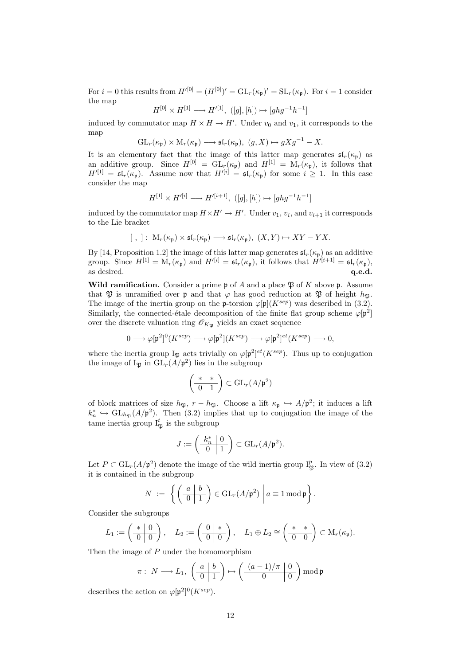For  $i = 0$  this results from  $H^{\prime [0]} = (H^{[0]})' = GL_r(\kappa_{\mathfrak{p}})' = SL_r(\kappa_{\mathfrak{p}})$ . For  $i = 1$  consider the map

$$
H^{[0]} \times H^{[1]} \longrightarrow H'^{[1]}, \ ([g], [h]) \mapsto [ghg^{-1}h^{-1}]
$$

induced by commutator map  $H \times H \to H'$ . Under  $v_0$  and  $v_1$ , it corresponds to the map

$$
GL_r(\kappa_{\mathfrak{p}}) \times M_r(\kappa_{\mathfrak{p}}) \longrightarrow \mathfrak{sl}_r(\kappa_{\mathfrak{p}}), \ (g, X) \mapsto gXg^{-1} - X.
$$

It is an elementary fact that the image of this latter map generates  $\mathfrak{sl}_r(\kappa_{\mathfrak{p}})$  as an additive group. Since  $H^{[0]} = GL_r(\kappa_p)$  and  $H^{[1]} = M_r(\kappa_p)$ , it follows that  $H^{\prime}[1] = \mathfrak{sl}_r(\kappa_{\mathfrak{p}}).$  Assume now that  $H^{\prime[i]} = \mathfrak{sl}_r(\kappa_{\mathfrak{p}})$  for some  $i \geq 1$ . In this case consider the map

$$
H^{[1]}\times H'^{[i]}\longrightarrow H'^{[i+1]},\ ([g],[h])\mapsto [ghg^{-1}h^{-1}]
$$

induced by the commutator map  $H \times H' \to H'$ . Under  $v_1, v_i$ , and  $v_{i+1}$  it corresponds to the Lie bracket

$$
[~,~]:~\mathcal{M}_r(\kappa_{\mathfrak{p}})\times \mathfrak{sl}_r(\kappa_{\mathfrak{p}})\longrightarrow \mathfrak{sl}_r(\kappa_{\mathfrak{p}}),~(X,Y)\mapsto XY-YX.
$$

By [14, Proposition 1.2] the image of this latter map generates  $\mathfrak{sl}_r(\kappa_{\mathfrak{p}})$  as an additive group. Since  $H^{[1]} = M_r(\kappa_{\mathfrak{p}})$  and  $H^{\prime[i]} = \mathfrak{sl}_r(\kappa_{\mathfrak{p}})$ , it follows that  $H^{\prime[i+1]} = \mathfrak{sl}_r(\kappa_{\mathfrak{p}})$ , as desired.  $q.e.d.$ 

Wild ramification. Consider a prime  $\mathfrak p$  of A and a place  $\mathfrak P$  of K above p. Assume that  $\mathfrak P$  is unramified over **p** and that  $\varphi$  has good reduction at  $\mathfrak P$  of height  $h_{\mathfrak P}$ . The image of the inertia group on the **p**-torsion  $\varphi[\mathfrak{p}](K^{sep})$  was described in (3.2). Similarly, the connected-étale decomposition of the finite flat group scheme  $\varphi[\mathfrak{p}^2]$ over the discrete valuation ring  $\mathscr{O}_{K_{\mathfrak{P}}}$  yields an exact sequence

$$
0 \longrightarrow \varphi[\mathfrak{p}^2]^0(K^{sep}) \longrightarrow \varphi[\mathfrak{p}^2](K^{sep}) \longrightarrow \varphi[\mathfrak{p}^2]^{et}(K^{sep}) \longrightarrow 0,
$$

where the inertia group  $I_{\mathfrak{P}}$  acts trivially on  $\varphi[\mathfrak{p}^2]^{et}(K^{sep})$ . Thus up to conjugation the image of  $I_{\mathfrak{P}}$  in  $GL_r(A/\mathfrak{p}^2)$  lies in the subgroup

$$
\left(\begin{array}{c|c} * & * \\ \hline 0 & 1 \end{array}\right) \subset \operatorname{GL}_r(A/\mathfrak{p}^2)
$$

of block matrices of size  $h_{\mathfrak{P}}, r - h_{\mathfrak{P}}.$  Choose a lift  $\kappa_{\mathfrak{p}} \hookrightarrow A/\mathfrak{p}^2$ ; it induces a lift  $k_n^* \hookrightarrow GL_{h_{\mathfrak{P}}}(A/\mathfrak{p}^2)$ . Then (3.2) implies that up to conjugation the image of the tame inertia group  $I_{\mathfrak{P}}^{t}$  is the subgroup

$$
J := \left(\begin{array}{c|c} k_n^* & 0 \\ \hline 0 & 1 \end{array}\right) \subset \mathrm{GL}_r(A/\mathfrak{p}^2).
$$

Let  $P \subset GL_r(A/\mathfrak{p}^2)$  denote the image of the wild inertia group  $I_{\mathfrak{P}}^p$ . In view of (3.2) it is contained in the subgroup

$$
N \ := \ \left\{ \left( \frac{a \mid b}{0 \mid 1} \right) \in \mathrm{GL}_r(A/\mathfrak{p}^2) \ \bigg| \ a \equiv 1 \bmod \mathfrak{p} \right\}.
$$

Consider the subgroups

$$
L_1:=\left(\begin{array}{c|c} * & 0 \\ \hline 0 & 0 \end{array}\right), \quad L_2:=\left(\begin{array}{c|c} 0 & * \\ \hline 0 & 0 \end{array}\right), \quad L_1\oplus L_2\cong \left(\begin{array}{c|c} * & * \\ \hline 0 & 0 \end{array}\right)\subset \mathrm{M}_r(\kappa_{\mathfrak{p}}).
$$

Then the image of P under the homomorphism

$$
\pi: N \longrightarrow L_1, \left(\begin{array}{c|c} a & b \\ \hline 0 & 1 \end{array}\right) \mapsto \left(\begin{array}{c|c} (a-1)/\pi & 0 \\ \hline 0 & 0 \end{array}\right) \bmod \mathfrak{p}
$$

describes the action on  $\varphi[\mathfrak{p}^2]^0(K^{sep})$ .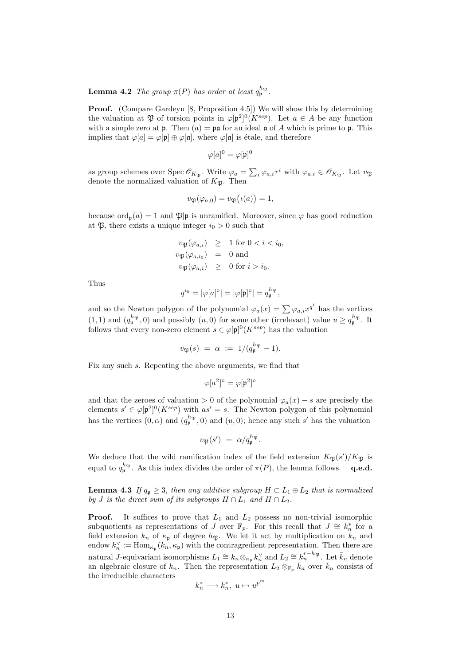**Lemma 4.2** The group  $\pi(P)$  has order at least  $q_{\mathfrak{p}}^{h_{\mathfrak{P}}}.$ 

Proof. (Compare Gardeyn [8, Proposition 4.5]) We will show this by determining the valuation at  $\mathfrak P$  of torsion points in  $\varphi[\mathfrak p^2]^0(K^{sep})$ . Let  $a \in A$  be any function with a simple zero at **p**. Then  $(a) = \mathfrak{pa}$  for an ideal  $\mathfrak{a}$  of A which is prime to **p**. This implies that  $\varphi[a] = \varphi[\mathfrak{p}] \oplus \varphi[\mathfrak{a}]$ , where  $\varphi[\mathfrak{a}]$  is étale, and therefore

$$
\varphi[a]^0 = \varphi[\mathfrak{p}]^0
$$

as group schemes over Spec  $\mathscr{O}_{K_{\mathfrak{P}}}.$  Write  $\varphi_a = \sum_i \varphi_{a,i} \tau^i$  with  $\varphi_{a,i} \in \mathscr{O}_{K_{\mathfrak{P}}}$ . Let  $v_{\mathfrak{P}}$ denote the normalized valuation of  $K_{\mathfrak{B}}$ . Then

$$
v_{\mathfrak{P}}(\varphi_{a,0}) = v_{\mathfrak{P}}(\iota(a)) = 1,
$$

because  $\text{ord}_{p}(a) = 1$  and  $\mathfrak{P}|p$  is unramified. Moreover, since  $\varphi$  has good reduction at  $\mathfrak{P}$ , there exists a unique integer  $i_0 > 0$  such that

$$
v_{\mathfrak{P}}(\varphi_{a,i}) \geq 1 \text{ for } 0 < i < i_0,
$$
  

$$
v_{\mathfrak{P}}(\varphi_{a,i_0}) = 0 \text{ and}
$$
  

$$
v_{\mathfrak{P}}(\varphi_{a,i}) \geq 0 \text{ for } i > i_0.
$$

Thus

$$
q^{i_0}=|\varphi[a]^\circ|=|\varphi[\mathfrak{p}]^\circ|=q_\mathfrak{p}^{h_\mathfrak{P}},
$$

and so the Newton polygon of the polynomial  $\varphi_a(x) = \sum \varphi_{a,i} x^{q^i}$  has the vertices  $(1,1)$  and  $(q_p^{h_{\mathfrak{P}}},0)$  and possibly  $(u,0)$  for some other (irrelevant) value  $u \geq q_p^{h_{\mathfrak{P}}}.$  It follows that every non-zero element  $s \in \varphi[\mathfrak{p}]^0(K^{sep})$  has the valuation

$$
v_{\mathfrak{P}}(s) \; = \; \alpha \; := \; 1/(q_{\mathfrak{p}}^{h_{\mathfrak{P}}} - 1).
$$

Fix any such s. Repeating the above arguments, we find that

$$
\varphi[a^2]^{\circ}=\varphi[\mathfrak{p}^2]^{\circ}
$$

and that the zeroes of valuation > 0 of the polynomial  $\varphi_a(x) - s$  are precisely the elements  $s' \in \varphi[\mathfrak{p}^2]^0(K^{sep})$  with  $as' = s$ . The Newton polygon of this polynomial has the vertices  $(0, \alpha)$  and  $(q_p^{h_\mathfrak{P}}, 0)$  and  $(u, 0)$ ; hence any such s' has the valuation

$$
v_{\mathfrak{P}}(s') = \alpha / q_{\mathfrak{p}}^{h_{\mathfrak{P}}}.
$$

We deduce that the wild ramification index of the field extension  $K_{\mathfrak{P}}(s')/K_{\mathfrak{P}}$  is equal to  $q_{\mathfrak{p}}^{h_{\mathfrak{P}}}$ . As this index divides the order of  $\pi(P)$ , the lemma follows. **q.e.d.** 

**Lemma 4.3** If  $q_p \geq 3$ , then any additive subgroup  $H \subset L_1 \oplus L_2$  that is normalized by J is the direct sum of its subgroups  $H \cap L_1$  and  $H \cap L_2$ .

**Proof.** It suffices to prove that  $L_1$  and  $L_2$  possess no non-trivial isomorphic subquotients as representations of J over  $\mathbb{F}_p$ . For this recall that  $J \cong k_n^*$  for a field extension  $k_n$  of  $\kappa_{\mathfrak{p}}$  of degree  $h_{\mathfrak{P}}$ . We let it act by multiplication on  $k_n$  and endow  $k_n^{\vee} := \text{Hom}_{\kappa_{\mathfrak{p}}}(k_n, \kappa_{\mathfrak{p}})$  with the contragredient representation. Then there are natural *J*-equivariant isomorphisms  $L_1 \cong k_n \otimes_{\kappa_{\mathfrak{p}}} k_n^{\vee}$  and  $L_2 \cong k_n^{r-h_{\mathfrak{P}}}$ . Let  $\bar{k}_n$  denote an algebraic closure of  $k_n$ . Then the representation  $L_2 \otimes_{\mathbb{F}_p} \bar{k}_n$  over  $\bar{k}_n$  consists of the irreducible characters

$$
k_n^* \longrightarrow \bar{k}_n^*, \ u \mapsto u^{p^m}
$$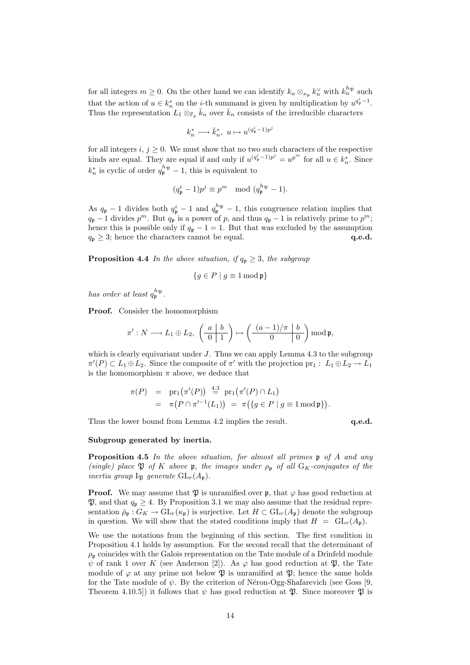for all integers  $m \geq 0$ . On the other hand we can identify  $k_n \otimes_{\kappa_{\mathfrak{p}}} k_n^{\vee}$  with  $k_n^{h_{\mathfrak{P}}}$  such that the action of  $u \in k_n^*$  on the *i*-th summand is given by multiplication by  $u^{q_p^i-1}$ . Thus the representation  $L_1 \otimes_{\mathbb{F}_p} \bar{k}_n$  over  $\bar{k}_n$  consists of the irreducible characters

$$
k_n^* \longrightarrow \bar{k}_n^*, \ u \mapsto u^{(q_{\mathfrak{p}}^i - 1)p^j}
$$

for all integers  $i, j \geq 0$ . We must show that no two such characters of the respective kinds are equal. They are equal if and only if  $u^{(q_{\mathfrak{p}}^i-1)p^j} = u^{p^m}$  for all  $u \in k_n^*$ . Since  $k_n^*$  is cyclic of order  $q_{\mathfrak{p}}^{h_{\mathfrak{P}}} - 1$ , this is equivalent to

$$
(q_{\mathfrak{p}}^i - 1)p^j \equiv p^m \mod (q_{\mathfrak{p}}^{h_{\mathfrak{P}}} - 1).
$$

As  $q_{\mathfrak{p}} - 1$  divides both  $q_{\mathfrak{p}}^i - 1$  and  $q_{\mathfrak{p}}^{h_{\mathfrak{P}} - 1}$ , this congruence relation implies that  $q_{\mathfrak{p}}-1$  divides  $p^m$ . But  $q_{\mathfrak{p}}$  is a power of p, and thus  $q_{\mathfrak{p}}-1$  is relatively prime to  $p^m$ ; hence this is possible only if  $q_p - 1 = 1$ . But that was excluded by the assumption  $q_p \geq 3$ ; hence the characters cannot be equal. q.e.d.

**Proposition 4.4** In the above situation, if  $q_p \geq 3$ , the subgroup

$$
\{g \in P \mid g \equiv 1 \bmod \mathfrak{p}\}\
$$

has order at least  $q_{\mathfrak{p}}^{h_{\mathfrak{P}}}.$ 

Proof. Consider the homomorphism

$$
\pi': N \longrightarrow L_1 \oplus L_2, \ \left(\begin{array}{c|c} a & b \\ \hline 0 & 1 \end{array}\right) \mapsto \left(\begin{array}{c|c} (a-1)/\pi & b \\ \hline 0 & 0 \end{array}\right) \bmod \mathfrak{p},
$$

which is clearly equivariant under  $J$ . Thus we can apply Lemma 4.3 to the subgroup  $\pi'(P) \subset L_1 \oplus L_2$ . Since the composite of  $\pi'$  with the projection  $\text{pr}_1 : L_1 \oplus L_2 \to L_1$ is the homomorphism  $\pi$  above, we deduce that

$$
\pi(P) = \text{pr}_1(\pi'(P)) \stackrel{4.3}{=} \text{pr}_1(\pi'(P) \cap L_1)
$$
  
=  $\pi(P \cap \pi'^{-1}(L_1)) = \pi(\{g \in P \mid g \equiv 1 \mod \mathfrak{p}\}).$ 

Thus the lower bound from Lemma 4.2 implies the result. q.e.d.

#### Subgroup generated by inertia.

Proposition 4.5 In the above situation, for almost all primes  $\mathfrak p$  of A and any (single) place  $\mathfrak{P}$  of K above p, the images under  $\rho_{\mathfrak{p}}$  of all  $G_K$ -conjugates of the inertia group  $I_{\mathfrak{B}}$  generate  $GL_r(A_{\mathfrak{p}})$ .

**Proof.** We may assume that  $\mathfrak{P}$  is unramified over **p**, that  $\varphi$  has good reduction at  $\mathfrak{P}$ , and that  $q_p \geq 4$ . By Proposition 3.1 we may also assume that the residual representation  $\bar{\rho}_{\mathfrak{p}}: G_K \to \mathrm{GL}_r(\kappa_{\mathfrak{p}})$  is surjective. Let  $H \subset \mathrm{GL}_r(A_{\mathfrak{p}})$  denote the subgroup in question. We will show that the stated conditions imply that  $H = GL_r(A_n)$ .

We use the notations from the beginning of this section. The first condition in Proposition 4.1 holds by assumption. For the second recall that the determinant of  $\rho_{\rm p}$  coincides with the Galois representation on the Tate module of a Drinfeld module  $\psi$  of rank 1 over K (see Anderson [2]). As  $\varphi$  has good reduction at  $\mathfrak{P}$ , the Tate module of  $\varphi$  at any prime not below  $\mathfrak P$  is unramified at  $\mathfrak P$ ; hence the same holds for the Tate module of  $\psi$ . By the criterion of Néron-Ogg-Shafarevich (see Goss [9, Theorem 4.10.5]) it follows that  $\psi$  has good reduction at  $\mathfrak{P}$ . Since moreover  $\mathfrak{P}$  is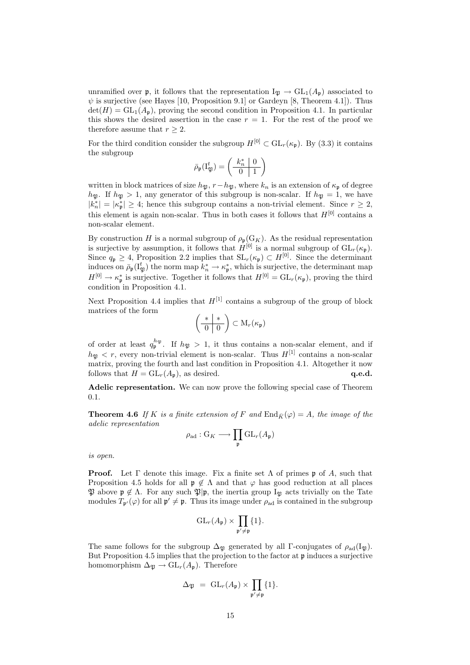unramified over **p**, it follows that the representation  $I_{\mathfrak{P}} \to GL_1(A_{\mathfrak{p}})$  associated to  $\psi$  is surjective (see Hayes [10, Proposition 9.1] or Gardeyn [8, Theorem 4.1]). Thus  $\det(H) = GL_1(A_n)$ , proving the second condition in Proposition 4.1. In particular this shows the desired assertion in the case  $r = 1$ . For the rest of the proof we therefore assume that  $r \geq 2$ .

For the third condition consider the subgroup  $H^{[0]} \subset GL_r(\kappa_n)$ . By (3.3) it contains the subgroup  $\mathbf{r}$ 

$$
\bar{\rho}_{\mathfrak{p}}(\mathbf{I}_{\mathfrak{P}}^t)=\left(\begin{array}{c|c}k_n^* & 0 \\ \hline 0 & 1\end{array}\right)
$$

written in block matrices of size  $h_{\mathfrak{P}}$ ,  $r-h_{\mathfrak{P}}$ , where  $k_n$  is an extension of  $\kappa_{\mathfrak{p}}$  of degree  $h_{\mathfrak{P}}$ . If  $h_{\mathfrak{P}} > 1$ , any generator of this subgroup is non-scalar. If  $h_{\mathfrak{P}} = 1$ , we have  $|k_n^*| = |\kappa_{\mathfrak{p}}^*| \geq 4$ ; hence this subgroup contains a non-trivial element. Since  $r \geq 2$ , this element is again non-scalar. Thus in both cases it follows that  $H^{[0]}$  contains a non-scalar element.

By construction H is a normal subgroup of  $\rho_{\mathfrak{p}}(G_K)$ . As the residual representation is surjective by assumption, it follows that  $H^{[0]}$  is a normal subgroup of  $GL_r(\kappa_{\mathfrak{p}})$ . Since  $q_p \geq 4$ , Proposition 2.2 implies that  $SL_r(\kappa_p) \subset H^{[0]}$ . Since the determinant induces on  $\bar{\rho}_p(I_{\mathfrak{P}}^t)$  the norm map  $k_n^* \to \kappa_p^*$ , which is surjective, the determinant map  $H^{[0]} \to \kappa_{\mathfrak{p}}^*$  is surjective. Together it follows that  $H^{[0]} = GL_r(\kappa_{\mathfrak{p}})$ , proving the third condition in Proposition 4.1.

Next Proposition 4.4 implies that  $H^{[1]}$  contains a subgroup of the group of block matrices of the form  $\overline{a}$  $\mathbf{r}$ 

$$
\left(\begin{array}{c|c} * & * \\ \hline 0 & 0 \end{array}\right) \subset M_r(\kappa_{\mathfrak{p}})
$$

of order at least  $q_{\mathfrak{p}}^{h_{\mathfrak{P}}}$ . If  $h_{\mathfrak{P}} > 1$ , it thus contains a non-scalar element, and if  $h_{\mathfrak{B}} < r$ , every non-trivial element is non-scalar. Thus  $H^{[1]}$  contains a non-scalar matrix, proving the fourth and last condition in Proposition 4.1. Altogether it now follows that  $H = GL_r(A_p)$ , as desired. q.e.d.

Adelic representation. We can now prove the following special case of Theorem 0.1.

**Theorem 4.6** If K is a finite extension of F and  $\text{End}_{\bar{K}}(\varphi) = A$ , the image of the adelic representation

$$
\rho_{\mathrm{ad}} : \mathrm{G}_K \longrightarrow \prod_{\mathfrak{p}} \mathrm{GL}_r(A_{\mathfrak{p}})
$$

is open.

**Proof.** Let  $\Gamma$  denote this image. Fix a finite set  $\Lambda$  of primes p of A, such that Proposition 4.5 holds for all  $\mathfrak{p} \notin \Lambda$  and that  $\varphi$  has good reduction at all places  $\mathfrak{P}$  above  $\mathfrak{p} \notin \Lambda$ . For any such  $\mathfrak{P}|\mathfrak{p}$ , the inertia group I<sub>P</sub> acts trivially on the Tate modules  $T_{\mathfrak{p}'}(\varphi)$  for all  $\mathfrak{p}' \neq \mathfrak{p}$ . Thus its image under  $\rho_{ad}$  is contained in the subgroup

$$
\operatorname{GL}_r(A_{\mathfrak{p}}) \times \prod_{\mathfrak{p}' \neq \mathfrak{p}} \{1\}.
$$

The same follows for the subgroup  $\Delta_{\mathfrak{P}}$  generated by all Γ-conjugates of  $\rho_{ad}(I_{\mathfrak{P}})$ . But Proposition 4.5 implies that the projection to the factor at  $\mathfrak p$  induces a surjective homomorphism  $\Delta_{\mathfrak{P}} \to GL_r(A_{\mathfrak{p}})$ . Therefore

$$
\Delta_{\mathfrak{P}} = GL_r(A_{\mathfrak{p}}) \times \prod_{\mathfrak{p}' \neq \mathfrak{p}} \{1\}.
$$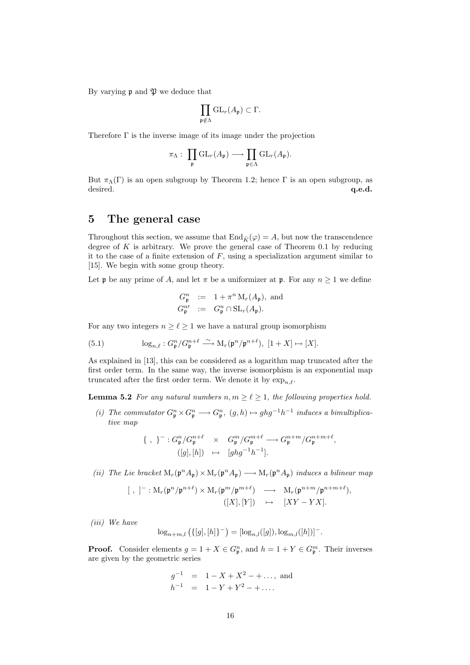By varying  $\mathfrak p$  and  $\mathfrak P$  we deduce that

$$
\prod_{\mathfrak{p}\notin \Lambda} \mathrm{GL}_r(A_{\mathfrak{p}}) \subset \Gamma.
$$

Therefore Γ is the inverse image of its image under the projection

$$
\pi_\Lambda:\; \prod_{\mathfrak{p}}\mathrm{GL}_r(A_{\mathfrak{p}})\longrightarrow \prod_{\mathfrak{p}\in \Lambda}\mathrm{GL}_r(A_{\mathfrak{p}}).
$$

But  $\pi_{\Lambda}(\Gamma)$  is an open subgroup by Theorem 1.2; hence  $\Gamma$  is an open subgroup, as desired. **a desired desired desired desired desired desired desired desired desired desired desired desired desired desired desired desired desired desired desired desired desired** 

### 5 The general case

Throughout this section, we assume that  $\text{End}_{\bar{K}}(\varphi) = A$ , but now the transcendence degree of  $K$  is arbitrary. We prove the general case of Theorem 0.1 by reducing it to the case of a finite extension of  $F$ , using a specialization argument similar to [15]. We begin with some group theory.

Let **p** be any prime of A, and let  $\pi$  be a uniformizer at **p**. For any  $n \geq 1$  we define

$$
G_{\mathfrak{p}}^{n} := 1 + \pi^{n} M_{r}(A_{\mathfrak{p}}), \text{ and}
$$
  

$$
G_{\mathfrak{p}}^{n'} := G_{\mathfrak{p}}^{n} \cap \mathrm{SL}_{r}(A_{\mathfrak{p}}).
$$

For any two integers  $n \geq \ell \geq 1$  we have a natural group isomorphism

(5.1) 
$$
\log_{n,\ell}: G_{\mathfrak{p}}^n/G_{\mathfrak{p}}^{n+\ell} \stackrel{\sim}{\longrightarrow} \mathrm{M}_r(\mathfrak{p}^n/\mathfrak{p}^{n+\ell}), \ [1+X] \mapsto [X].
$$

As explained in [13], this can be considered as a logarithm map truncated after the first order term. In the same way, the inverse isomorphism is an exponential map truncated after the first order term. We denote it by  $\exp_n \ell$ .

**Lemma 5.2** For any natural numbers  $n, m \geq \ell \geq 1$ , the following properties hold.

(i) The commutator  $G_{\mathfrak{p}}^n \times G_{\mathfrak{p}}^n \longrightarrow G_{\mathfrak{p}}^n$ ,  $(g,h) \mapsto ghg^{-1}h^{-1}$  induces a bimultiplicative map

$$
\{ , \}^{-}: G_{\mathfrak{p}}^{n}/G_{\mathfrak{p}}^{n+\ell} \times G_{\mathfrak{p}}^{m}/G_{\mathfrak{p}}^{m+\ell} \longrightarrow G_{\mathfrak{p}}^{n+m}/G_{\mathfrak{p}}^{n+m+\ell},
$$
  

$$
([g],[h]) \mapsto [ghg^{-1}h^{-1}].
$$

(ii) The Lie bracket  $M_r(\mathfrak{p}^n A_{\mathfrak{p}}) \times M_r(\mathfrak{p}^n A_{\mathfrak{p}}) \longrightarrow M_r(\mathfrak{p}^n A_{\mathfrak{p}})$  induces a bilinear map

$$
[ , ]^{-} : M_{r}(\mathfrak{p}^{n}/\mathfrak{p}^{n+\ell}) \times M_{r}(\mathfrak{p}^{m}/\mathfrak{p}^{m+\ell}) \longrightarrow M_{r}(\mathfrak{p}^{n+m}/\mathfrak{p}^{n+m+\ell}),
$$
  

$$
([X], [Y]) \longrightarrow [XY - YX].
$$

(iii) We have

$$
\log_{n+m,l} (\{[g],[h]\}^-) = [\log_{n,l}([g]), \log_{m,l}([h])]^-.
$$

**Proof.** Consider elements  $g = 1 + X \in G_{\mathfrak{p}}^n$ , and  $h = 1 + Y \in G_{\mathfrak{p}}^m$ . Their inverses are given by the geometric series

$$
g^{-1}
$$
 = 1 - X + X<sup>2</sup> - +..., and  
\n $h^{-1}$  = 1 - Y + Y<sup>2</sup> - +....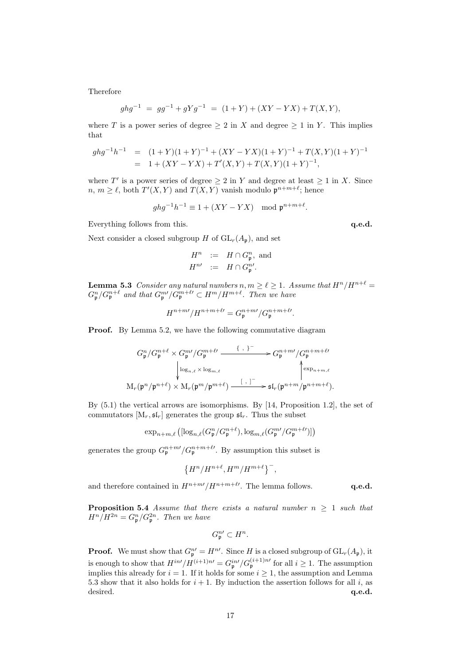Therefore

$$
ghg^{-1} = gg^{-1} + gYg^{-1} = (1+Y) + (XY - YX) + T(X,Y),
$$

where T is a power series of degree  $\geq 2$  in X and degree  $\geq 1$  in Y. This implies that

$$
ghg^{-1}h^{-1} = (1+Y)(1+Y)^{-1} + (XY-YX)(1+Y)^{-1} + T(X,Y)(1+Y)^{-1}
$$
  
= 1 + (XY-YX) + T'(X,Y) + T(X,Y)(1+Y)^{-1},

where T' is a power series of degree  $\geq 2$  in Y and degree at least  $\geq 1$  in X. Since  $n, m \geq \ell$ , both  $T'(X, Y)$  and  $T(X, Y)$  vanish modulo  $\mathfrak{p}^{n+m+\ell}$ ; hence

$$
ghg^{-1}h^{-1} \equiv 1 + (XY - YX) \mod \mathfrak{p}^{n+m+\ell}.
$$

Everything follows from this.  $q.e.d.$ 

Next consider a closed subgroup H of  $GL_r(A_p)$ , and set

$$
H^n := H \cap G_p^n, \text{ and}
$$
  

$$
H^{n'} := H \cap G_p^{n'}.
$$

**Lemma 5.3** Consider any natural numbers  $n, m \geq \ell \geq 1$ . Assume that  $H^n/H^{n+\ell} =$  $G_{\mathfrak{p}}^n/G_{\mathfrak{p}}^{n+\ell}$  and that  $G_{\mathfrak{p}}^{m\ell}/G_{\mathfrak{p}}^{m+\ell\ell} \subset H^m/H^{m+\ell}$ . Then we have

$$
H^{n+m\prime}/H^{n+m+\ell\prime} = G_{\mathfrak{p}}^{n+m\prime}/G_{\mathfrak{p}}^{n+m+\ell\prime}.
$$

**Proof.** By Lemma 5.2, we have the following commutative diagram

$$
G_{\mathfrak{p}}^{n}/G_{\mathfrak{p}}^{n+\ell} \times G_{\mathfrak{p}}^{m\ell}/G_{\mathfrak{p}}^{m+\ell\ell} \xrightarrow{\{\ ,\ \}}^{\infty} G_{\mathfrak{p}}^{n+m\ell}/G_{\mathfrak{p}}^{n+m+\ell\ell}
$$
\n
$$
\downarrow^{\log_{n,\ell} \times \log_{m,\ell}} \downarrow^{\infty} \downarrow^{\infty} \downarrow^{\infty} \downarrow^{\infty} \downarrow^{\infty} \downarrow^{\infty} \downarrow^{\infty} \downarrow^{\infty} \downarrow^{\infty} \downarrow^{\infty} \downarrow^{\infty} \downarrow^{\infty} \downarrow^{\infty} \downarrow^{\infty} \downarrow^{\infty} \downarrow^{\infty} \downarrow^{\infty} \downarrow^{\infty} \downarrow^{\infty} \downarrow^{\infty} \downarrow^{\infty} \downarrow^{\infty} \downarrow^{\infty} \downarrow^{\infty} \downarrow^{\infty} \downarrow^{\infty} \downarrow^{\infty} \downarrow^{\infty} \downarrow^{\infty} \downarrow^{\infty} \downarrow^{\infty} \downarrow^{\infty} \downarrow^{\infty} \downarrow^{\infty} \downarrow^{\infty} \downarrow^{\infty} \downarrow^{\infty} \downarrow^{\infty} \downarrow^{\infty} \downarrow^{\infty} \downarrow^{\infty} \downarrow^{\infty} \downarrow^{\infty} \downarrow^{\infty} \downarrow^{\infty} \downarrow^{\infty} \downarrow^{\infty} \downarrow^{\infty} \downarrow^{\infty} \downarrow^{\infty} \downarrow^{\infty} \downarrow^{\infty} \downarrow^{\infty} \downarrow^{\infty} \downarrow^{\infty} \downarrow^{\infty} \downarrow^{\infty} \downarrow^{\infty} \downarrow^{\infty} \downarrow^{\infty} \downarrow^{\infty} \downarrow^{\infty} \downarrow^{\infty} \downarrow^{\infty} \downarrow^{\infty} \downarrow^{\infty} \downarrow^{\infty} \downarrow^{\infty} \downarrow^{\infty} \downarrow^{\infty} \downarrow^{\infty} \downarrow^{\infty} \downarrow^{\infty} \downarrow^{\infty} \downarrow^{\infty} \downarrow^{\infty} \downarrow^{\infty} \downarrow^{\infty} \downarrow
$$

By (5.1) the vertical arrows are isomorphisms. By [14, Proposition 1.2], the set of commutators  $[M_r, \mathfrak{sl}_r]$  generates the group  $\mathfrak{sl}_r$ . Thus the subset

$$
\exp_{n+m,\ell}\left( [\log_{n,\ell}(G_{\mathfrak{p}}^n/G_{\mathfrak{p}}^{n+\ell}),\log_{m,\ell}(G_{\mathfrak{p}}^{m\ell}/G_{\mathfrak{p}}^{m+\ell\ell})] \right)
$$

generates the group  $G_{\mathfrak{p}}^{n+m'}/G_{\mathfrak{p}}^{n+m+\ell'}$ . By assumption this subset is

$$
\left\{H^n/H^{n+\ell}, H^m/H^{m+\ell}\right\}^-,
$$

and therefore contained in  $H^{n+m}/H^{n+m+\ell}$ . The lemma follows.  $q.e.d.$ 

**Proposition 5.4** Assume that there exists a natural number  $n \geq 1$  such that  $H^n/H^{2n} = G_p^n/G_p^{2n}$ . Then we have

$$
G_{\mathfrak{p}}^{n\prime}\subset H^{n}.
$$

**Proof.** We must show that  $G_{\mathfrak{p}}^{n'} = H^{n'}$ . Since H is a closed subgroup of  $GL_r(A_{\mathfrak{p}})$ , it is enough to show that  $H^{in\prime}/H^{(i+1)n\prime} = G_{\mathfrak{p}}^{in\prime}/G_{\mathfrak{p}}^{(i+1)n\prime}$  for all  $i \geq 1$ . The assumption implies this already for  $i = 1$ . If it holds for some  $i \geq 1$ , the assumption and Lemma 5.3 show that it also holds for  $i + 1$ . By induction the assertion follows for all i, as desired. **a desired desired desired desired desired desired desired desired desired desired desired desired desired desired desired desired desired desired desired desired desired**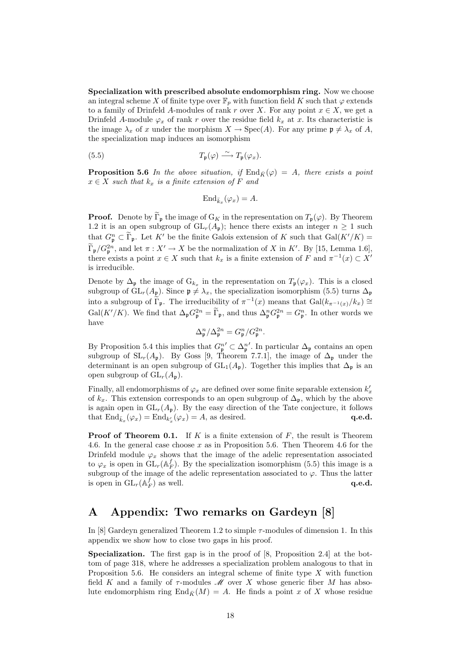Specialization with prescribed absolute endomorphism ring. Now we choose an integral scheme X of finite type over  $\mathbb{F}_p$  with function field K such that  $\varphi$  extends to a family of Drinfeld A-modules of rank r over X. For any point  $x \in X$ , we get a Drinfeld A-module  $\varphi_x$  of rank r over the residue field  $k_x$  at x. Its characteristic is the image  $\lambda_x$  of x under the morphism  $X \to \text{Spec}(A)$ . For any prime  $\mathfrak{p} \neq \lambda_x$  of A, the specialization map induces an isomorphism

(5.5) 
$$
T_{\mathfrak{p}}(\varphi) \stackrel{\sim}{\longrightarrow} T_{\mathfrak{p}}(\varphi_x).
$$

**Proposition 5.6** In the above situation, if  $\text{End}_{\bar{K}}(\varphi) = A$ , there exists a point  $x \in X$  such that  $k_x$  is a finite extension of F and

$$
\text{End}_{\bar{k}_x}(\varphi_x) = A.
$$

**Proof.** Denote by  $\widetilde{\Gamma}_{\mathfrak{p}}$  the image of  $G_K$  in the representation on  $T_{\mathfrak{p}}(\varphi)$ . By Theorem 1.2 it is an open subgroup of  $GL_r(A_p)$ ; hence there exists an integer  $n \geq 1$  such that  $G_{\mathfrak{p}}^n \subset \widetilde{\Gamma}_{\mathfrak{p}}$ . Let K' be the finite Galois extension of K such that  $Gal(K'/K)$  =  $\widetilde{\Gamma}_{\mathfrak{p}}/G_{\mathfrak{p}}^{2n}$ , and let  $\pi : X' \to X$  be the normalization of X in K'. By [15, Lemma 1.6], there exists a point  $x \in X$  such that  $k_x$  is a finite extension of F and  $\pi^{-1}(x) \subset X'$ is irreducible.

Denote by  $\Delta_{\mathfrak{p}}$  the image of  $G_{k_x}$  in the representation on  $T_{\mathfrak{p}}(\varphi_x)$ . This is a closed subgroup of  $GL_r(A_p)$ . Since  $\mathfrak{p} \neq \lambda_x$ , the specialization isomorphism (5.5) turns  $\Delta_{\mathfrak{p}}$ into a subgroup of  $\tilde{\Gamma}_{\mathfrak{p}}$ . The irreducibility of  $\pi^{-1}(x)$  means that  $Gal(k_{\pi^{-1}(x)}/k_x) \cong$  $Gal(K'/K)$ . We find that  $\Delta_{\mathfrak{p}} G_{\mathfrak{p}}^{2n} = \widetilde{\Gamma}_{\mathfrak{p}}$ , and thus  $\Delta_{\mathfrak{p}}^n G_{\mathfrak{p}}^{2n} = G_{\mathfrak{p}}^n$ . In other words we have

$$
\Delta_{\mathfrak{p}}^n / \Delta_{\mathfrak{p}}^{2n} = G_{\mathfrak{p}}^n / G_{\mathfrak{p}}^{2n}.
$$

By Proposition 5.4 this implies that  $G_{\mathfrak{p}}^{n'} \subset \Delta_{\mathfrak{p}}^{n'}$ . In particular  $\Delta_{\mathfrak{p}}$  contains an open subgroup of  $SL_r(A_p)$ . By Goss [9, Theorem 7.7.1], the image of  $\Delta_p$  under the determinant is an open subgroup of  $GL_1(A_p)$ . Together this implies that  $\Delta_p$  is an open subgroup of  $GL_r(A_p)$ .

Finally, all endomorphisms of  $\varphi_x$  are defined over some finite separable extension  $k'_x$ of  $k_x$ . This extension corresponds to an open subgroup of  $\Delta_p$ , which by the above is again open in  $GL_r(A_p)$ . By the easy direction of the Tate conjecture, it follows that  $\text{End}_{\bar{k}_x}(\varphi_x) = \text{End}_{k'_x}(\varphi_x) = A$ , as desired.  $\mathbf{q.e.d.}$ 

**Proof of Theorem 0.1.** If  $K$  is a finite extension of  $F$ , the result is Theorem 4.6. In the general case choose  $x$  as in Proposition 5.6. Then Theorem 4.6 for the Drinfeld module  $\varphi_x$  shows that the image of the adelic representation associated to  $\varphi_x$  is open in  $\tilde{{\rm GL}}_r(\mathbb{A}_F^f)$ . By the specialization isomorphism (5.5) this image is a subgroup of the image of the adelic representation associated to  $\varphi$ . Thus the latter is open in  $\mathrm{GL}_r(\mathbb{A}_F^f)$  as well.  $\mathbf{q.e.d.}$ 

# A Appendix: Two remarks on Gardeyn [8]

In [8] Gardeyn generalized Theorem 1.2 to simple  $\tau$ -modules of dimension 1. In this appendix we show how to close two gaps in his proof.

Specialization. The first gap is in the proof of [8, Proposition 2.4] at the bottom of page 318, where he addresses a specialization problem analogous to that in Proposition 5.6. He considers an integral scheme of finite type  $X$  with function field K and a family of  $\tau$ -modules  $\mathcal M$  over X whose generic fiber M has absolute endomorphism ring  $\text{End}_{\bar{K}}(M) = A$ . He finds a point x of X whose residue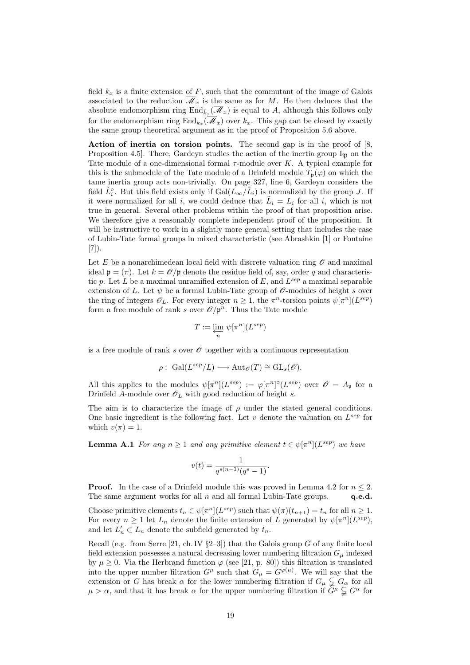field  $k_x$  is a finite extension of F, such that the commutant of the image of Galois associated to the reduction  $\overline{\mathcal{M}}_x$  is the same as for M. He then deduces that the absolute endomorphism ring  $\text{End}_{\bar{k}_x}(\overline{\mathscr{M}}_x)$  is equal to A, although this follows only for the endomorphism ring  $\text{End}_{k_x}(\mathcal{M}_x)$  over  $k_x$ . This gap can be closed by exactly the same group theoretical argument as in the proof of Proposition 5.6 above.

Action of inertia on torsion points. The second gap is in the proof of [8, Proposition 4.5. There, Gardeyn studies the action of the inertia group  $I_{\mathfrak{D}}$  on the Tate module of a one-dimensional formal  $\tau$ -module over K. A typical example for this is the submodule of the Tate module of a Drinfeld module  $T_p(\varphi)$  on which the tame inertia group acts non-trivially. On page 327, line 6, Gardeyn considers the field  $\tilde{L}^{\circ}_{i}$ . But this field exists only if  $Gal(\tilde{L}_{\infty}/\tilde{L}_{i})$  is normalized by the group J. If it were normalized for all i, we could deduce that  $\tilde{L}_i = L_i$  for all i, which is not true in general. Several other problems within the proof of that proposition arise. We therefore give a reasonably complete independent proof of the proposition. It will be instructive to work in a slightly more general setting that includes the case of Lubin-Tate formal groups in mixed characteristic (see Abrashkin [1] or Fontaine [7]).

Let E be a nonarchimedean local field with discrete valuation ring  $\mathscr O$  and maximal ideal  $\mathfrak{p} = (\pi)$ . Let  $k = \mathcal{O}/\mathfrak{p}$  denote the residue field of, say, order q and characteristic p. Let L be a maximal unramified extension of E, and  $L^{sep}$  a maximal separable extension of L. Let  $\psi$  be a formal Lubin-Tate group of  $\mathscr O$ -modules of height s over the ring of integers  $\mathscr{O}_L$ . For every integer  $n \geq 1$ , the  $\pi^n$ -torsion points  $\psi[\pi^n](L^{sep})$ form a free module of rank s over  $\mathcal{O}/\mathfrak{p}^n$ . Thus the Tate module

$$
T:=\varprojlim_n\, \psi[\pi^n](L^{sep})
$$

is a free module of rank s over  $\mathscr O$  together with a continuous representation

$$
\rho: \; \text{Gal}(L^{sep}/L) \longrightarrow \text{Aut}_{\mathscr{O}}(T) \cong \text{GL}_s(\mathscr{O}).
$$

All this applies to the modules  $\psi[\pi^n](L^{sep}) := \varphi[\pi^n] \circ (L^{sep})$  over  $\mathscr{O} = A_{\mathfrak{p}}$  for a Drinfeld A-module over  $\mathscr{O}_L$  with good reduction of height s.

The aim is to characterize the image of  $\rho$  under the stated general conditions. One basic ingredient is the following fact. Let  $v$  denote the valuation on  $L^{sep}$  for which  $v(\pi) = 1$ .

**Lemma A.1** For any  $n \geq 1$  and any primitive element  $t \in \psi[\pi^n](L^{sep})$  we have

$$
v(t) = \frac{1}{q^{s(n-1)}(q^s - 1)}.
$$

**Proof.** In the case of a Drinfeld module this was proved in Lemma 4.2 for  $n \leq 2$ . The same argument works for all  $n$  and all formal Lubin-Tate groups.  $q.e.d.$ 

Choose primitive elements  $t_n \in \psi[\pi^n](L^{sep})$  such that  $\psi(\pi)(t_{n+1}) = t_n$  for all  $n \geq 1$ . For every  $n \geq 1$  let  $L_n$  denote the finite extension of L generated by  $\psi[\pi^n](L^{sep})$ , and let  $L'_n \subset L_n$  denote the subfield generated by  $t_n$ .

Recall (e.g. from Serre [21, ch. IV  $\S2-3$ ]) that the Galois group G of any finite local field extension possesses a natural decreasing lower numbering filtration  $G_{\mu}$  indexed by  $\mu \geq 0$ . Via the Herbrand function  $\varphi$  (see [21, p. 80]) this filtration is translated into the upper number filtration  $G^{\mu}$  such that  $G_{\mu} = G^{\varphi(\mu)}$ . We will say that the extension or G has break  $\alpha$  for the lower numbering filtration if  $G_{\mu} \subsetneq G_{\alpha}$  for all  $\mu > \alpha$ , and that it has break  $\alpha$  for the upper numbering filtration if  $G^{\mu} \subsetneq G^{\alpha}$  for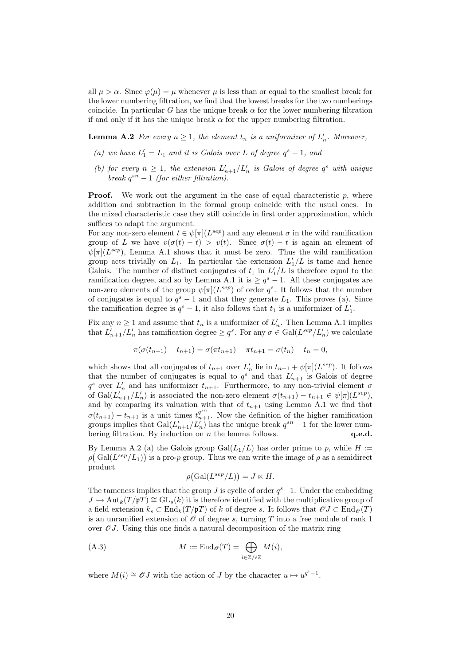all  $\mu > \alpha$ . Since  $\varphi(\mu) = \mu$  whenever  $\mu$  is less than or equal to the smallest break for the lower numbering filtration, we find that the lowest breaks for the two numberings coincide. In particular G has the unique break  $\alpha$  for the lower numbering filtration if and only if it has the unique break  $\alpha$  for the upper numbering filtration.

**Lemma A.2** For every  $n \geq 1$ , the element  $t_n$  is a uniformizer of  $L'_n$ . Moreover,

- (a) we have  $L'_1 = L_1$  and it is Galois over L of degree  $q^s 1$ , and
- (b) for every  $n \geq 1$ , the extension  $L'_{n+1}/L'_{n}$  is Galois of degree  $q^{s}$  with unique break  $q^{sn} - 1$  (for either filtration).

**Proof.** We work out the argument in the case of equal characteristic  $p$ , where addition and subtraction in the formal group coincide with the usual ones. In the mixed characteristic case they still coincide in first order approximation, which suffices to adapt the argument.

For any non-zero element  $t \in \psi[\pi](L^{sep})$  and any element  $\sigma$  in the wild ramification group of L we have  $v(\sigma(t) - t) > v(t)$ . Since  $\sigma(t) - t$  is again an element of  $\psi[\pi](L^{sep})$ , Lemma A.1 shows that it must be zero. Thus the wild ramification group acts trivially on  $L_1$ . In particular the extension  $L'_1/L$  is tame and hence Galois. The number of distinct conjugates of  $t_1$  in  $L'_1/L$  is therefore equal to the ramification degree, and so by Lemma A.1 it is  $\geq q^s - 1$ . All these conjugates are non-zero elements of the group  $\psi[\pi](L^{sep})$  of order  $q^s$ . It follows that the number of conjugates is equal to  $q^s - 1$  and that they generate  $L_1$ . This proves (a). Since the ramification degree is  $q^s - 1$ , it also follows that  $t_1$  is a uniformizer of  $L'_1$ .

Fix any  $n \geq 1$  and assume that  $t_n$  is a uniformizer of  $L'_n$ . Then Lemma A.1 implies that  $L'_{n+1}/L'_{n}$  has ramification degree  $\geq q^{s}$ . For any  $\sigma \in \text{Gal}(L^{sep}/L'_{n})$  we calculate

$$
\pi(\sigma(t_{n+1}) - t_{n+1}) = \sigma(\pi t_{n+1}) - \pi t_{n+1} = \sigma(t_n) - t_n = 0,
$$

which shows that all conjugates of  $t_{n+1}$  over  $L'_n$  lie in  $t_{n+1} + \psi[\pi](L^{sep})$ . It follows that the number of conjugates is equal to  $q^s$  and that  $L'_{n+1}$  is Galois of degree  $q^s$  over  $L'_n$  and has uniformizer  $t_{n+1}$ . Furthermore, to any non-trivial element  $\sigma$ of  $Gal(L'_{n+1}/L'_{n})$  is associated the non-zero element  $\sigma(t_{n+1}) - t_{n+1} \in \psi[\pi](L^{sep}),$ and by comparing its valuation with that of  $t_{n+1}$  using Lemma A.1 we find that  $\sigma(t_{n+1}) - t_{n+1}$  is a unit times  $t_{n+1}^{q^{sn}}$ . Now the definition of the higher ramification groups implies that  $Gal(L'_{n+1}/L'_{n})$  has the unique break  $q^{sn} - 1$  for the lower numbering filtration. By induction on n the lemma follows.  $q.e.d.$ 

By Lemma A.2 (a) the Galois group  $Gal(L_1/L)$  has order prime to p, while  $H :=$  $\rho(\text{Gal}(L^{sep}/L_1))$  is a pro-p group. Thus we can write the image of  $\rho$  as a semidirect product ¡ ¢

$$
\rho\big(\text{Gal}(L^{sep}/L)\big) = J \ltimes H.
$$

The tameness implies that the group J is cyclic of order  $q^s-1$ . Under the embedding  $J \hookrightarrow \text{Aut}_k(T/p) \cong GL_s(k)$  it is therefore identified with the multiplicative group of a field extension  $k_s \text{ }\subset \text{End}_k(T/\mathfrak{p}T)$  of k of degree s. It follows that  $\mathscr{O}J \subset \text{End}_{\mathscr{O}}(T)$ is an unramified extension of  $\mathcal O$  of degree s, turning T into a free module of rank 1 over  $\mathscr{O}J$ . Using this one finds a natural decomposition of the matrix ring

(A.3) 
$$
M := \operatorname{End}_{\mathscr{O}}(T) = \bigoplus_{i \in \mathbb{Z}/s\mathbb{Z}} M(i),
$$

where  $M(i) \cong \mathcal{O}J$  with the action of J by the character  $u \mapsto u^{q^i-1}$ .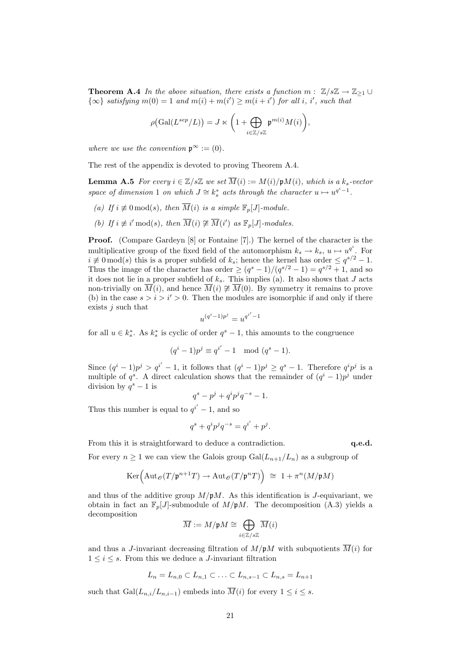**Theorem A.4** In the above situation, there exists a function  $m: \mathbb{Z}/s\mathbb{Z} \to \mathbb{Z}_{\geq 1} \cup$  $\{\infty\}$  satisfying  $m(0) = 1$  and  $m(i) + m(i') \ge m(i + i')$  for all i, i', such that

$$
\rho\big(\mathrm{Gal}(L^{sep}/L)\big) = J \ltimes \bigg(1 + \bigoplus_{i \in \mathbb{Z}/s\mathbb{Z}} \mathfrak{p}^{m(i)} M(i)\bigg),
$$

where we use the convention  $\mathfrak{p}^{\infty} := (0)$ .

The rest of the appendix is devoted to proving Theorem A.4.

**Lemma A.5** For every  $i \in \mathbb{Z}/s\mathbb{Z}$  we set  $\overline{M}(i) := M(i)/pM(i)$ , which is a  $k_s$ -vector space of dimension 1 on which  $J \cong k_s^*$  acts through the character  $u \mapsto u^{q^i-1}$ .

- (a) If  $i \not\equiv 0 \mod(s)$ , then  $\overline{M}(i)$  is a simple  $\mathbb{F}_p[J]$ -module.
- (b) If  $i \not\equiv i' \mod(s)$ , then  $\overline{M}(i) \not\cong \overline{M}(i')$  as  $\mathbb{F}_p[J]$ -modules.

Proof. (Compare Gardeyn [8] or Fontaine [7].) The kernel of the character is the multiplicative group of the fixed field of the automorphism  $k_s \to k_s$ ,  $u \mapsto u^{q^i}$ . For  $i \neq 0 \mod(s)$  this is a proper subfield of  $k_s$ ; hence the kernel has order  $\leq q^{s/2} - 1$ . Thus the image of the character has order  $\geq (q^{s}-1)/(q^{s/2}-1) = q^{s/2}+1$ , and so it does not lie in a proper subfield of  $k_s$ . This implies (a). It also shows that J acts non-trivially on  $\overline{M}(i)$ , and hence  $\overline{M}(i) \not\cong \overline{M}(0)$ . By symmetry it remains to prove (b) in the case  $s > i > i' > 0$ . Then the modules are isomorphic if and only if there exists  $j$  such that

$$
u^{(q^i-1)p^j}=u^{q^{i^{\prime}}-1}
$$

for all  $u \in k_s^*$ . As  $k_s^*$  is cyclic of order  $q^s - 1$ , this amounts to the congruence

$$
(qi - 1)pj \equiv qi' - 1 \mod (qs - 1).
$$

Since  $(q^{i} - 1)p^{j} > q^{i'} - 1$ , it follows that  $(q^{i} - 1)p^{j} \geq q^{s} - 1$ . Therefore  $q^{i}p^{j}$  is a multiple of  $q^s$ . A direct calculation shows that the remainder of  $(q^i-1)p^j$  under division by  $q^s - 1$  is

$$
q^s - p^j + q^i p^j q^{-s} - 1.
$$

Thus this number is equal to  $q^{i'} - 1$ , and so

$$
q^s + q^i p^j q^{-s} = q^{i'} + p^j.
$$

From this it is straightforward to deduce a contradiction.  $q.e.d.$ 

For every  $n \geq 1$  we can view the Galois group  $Gal(L_{n+1}/L_n)$  as a subgroup of

$$
\mathrm{Ker}\Big(\mathrm{Aut}_{\mathscr{O}}(T/\mathfrak{p}^{n+1}T)\rightarrow \mathrm{Aut}_{\mathscr{O}}(T/\mathfrak{p}^nT)\Big)\;\cong\; 1+\pi^n(M/\mathfrak{p} M)
$$

and thus of the additive group  $M/pM$ . As this identification is J-equivariant, we obtain in fact an  $\mathbb{F}_p[J]$ -submodule of  $M/pM$ . The decomposition (A.3) yields a decomposition  $\sim$ 

$$
\overline{M}:=M/\mathfrak{p}M\cong \bigoplus_{i\in\mathbb{Z}/s\mathbb{Z}}\overline{M}(i)
$$

and thus a J-invariant decreasing filtration of  $M/\mathfrak{p}M$  with subquotients  $\overline{M}(i)$  for  $1 \leq i \leq s$ . From this we deduce a *J*-invariant filtration

$$
L_n = L_{n,0} \subset L_{n,1} \subset \ldots \subset L_{n,s-1} \subset L_{n,s} = L_{n+1}
$$

such that  $Gal(L_{n,i}/L_{n,i-1})$  embeds into  $\overline{M}(i)$  for every  $1 \leq i \leq s$ .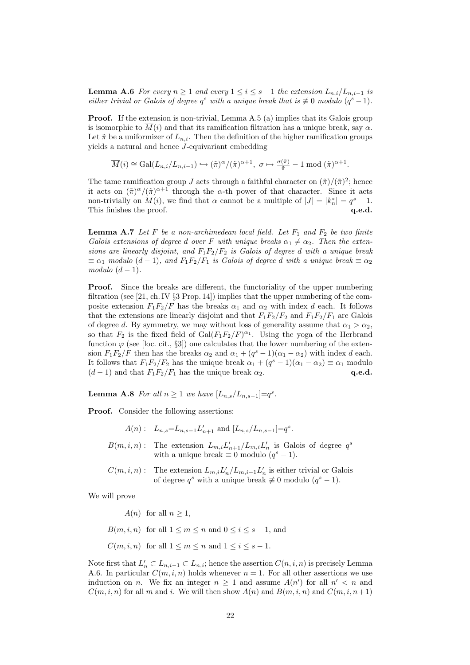**Lemma A.6** For every  $n \geq 1$  and every  $1 \leq i \leq s-1$  the extension  $L_{n,i}/L_{n,i-1}$  is either trivial or Galois of degree  $q^s$  with a unique break that is  $\not\equiv 0$  modulo  $(q^s-1)$ .

Proof. If the extension is non-trivial, Lemma A.5 (a) implies that its Galois group is isomorphic to  $\overline{M}(i)$  and that its ramification filtration has a unique break, say  $\alpha$ . Let  $\tilde{\pi}$  be a uniformizer of  $L_{n,i}$ . Then the definition of the higher ramification groups yields a natural and hence J-equivariant embedding

$$
\overline{M}(i) \cong \text{Gal}(L_{n,i}/L_{n,i-1}) \hookrightarrow (\tilde{\pi})^{\alpha}/(\tilde{\pi})^{\alpha+1}, \ \sigma \mapsto \frac{\sigma(\tilde{\pi})}{\tilde{\pi}} - 1 \bmod (\tilde{\pi})^{\alpha+1}.
$$

The tame ramification group J acts through a faithful character on  $(\tilde{\pi})/(\tilde{\pi})^2$ ; hence it acts on  $(\tilde{\pi})^{\alpha}/(\tilde{\pi})^{\alpha+1}$  through the  $\alpha$ -th power of that character. Since it acts non-trivially on  $\overline{M}(i)$ , we find that  $\alpha$  cannot be a multiple of  $|J| = |k_n^*| = q^s - 1$ . This finishes the proof.  $q.e.d.$ 

**Lemma A.7** Let F be a non-archimedean local field. Let  $F_1$  and  $F_2$  be two finite Galois extensions of degree d over F with unique breaks  $\alpha_1 \neq \alpha_2$ . Then the extensions are linearly disjoint, and  $F_1F_2/F_2$  is Galois of degree d with a unique break  $\equiv \alpha_1$  modulo  $(d-1)$ , and  $F_1F_2/F_1$  is Galois of degree d with a unique break  $\equiv \alpha_2$ modulo  $(d-1)$ .

Proof. Since the breaks are different, the functoriality of the upper numbering filtration (see [21, ch. IV  $\S 3$  Prop. 14]) implies that the upper numbering of the composite extension  $F_1F_2/F$  has the breaks  $\alpha_1$  and  $\alpha_2$  with index d each. It follows that the extensions are linearly disjoint and that  $F_1F_2/F_2$  and  $F_1F_2/F_1$  are Galois of degree d. By symmetry, we may without loss of generality assume that  $\alpha_1 > \alpha_2$ , so that  $F_2$  is the fixed field of  $Gal(F_1F_2/F)^{\alpha_1}$ . Using the yoga of the Herbrand function  $\varphi$  (see [loc. cit., §3]) one calculates that the lower numbering of the extension  $F_1F_2/F$  then has the breaks  $\alpha_2$  and  $\alpha_1 + (q^s - 1)(\alpha_1 - \alpha_2)$  with index d each. It follows that  $F_1F_2/F_2$  has the unique break  $\alpha_1 + (q^s - 1)(\alpha_1 - \alpha_2) \equiv \alpha_1$  modulo  $(d-1)$  and that  $F_1F_2/F_1$  has the unique break  $\alpha_2$ . q.e.d.

**Lemma A.8** For all  $n \geq 1$  we have  $[L_{n,s}/L_{n,s-1}]=q^s$ .

Proof. Consider the following assertions:

$$
A(n): L_{n,s}=L_{n,s-1}L'_{n+1}
$$
 and  $[L_{n,s}/L_{n,s-1}]=q^s$ .

- $B(m, i, n)$ : The extension  $L_{m,i}L'_{n+1}/L_{m,i}L'_{n}$  is Galois of degree  $q^s$ with a unique break  $\equiv 0$  modulo  $(q^s - 1)$ .
- $C(m, i, n)$ : The extension  $L_{m,i}L'_{n}/L_{m,i-1}L'_{n}$  is either trivial or Galois of degree  $q^s$  with a unique break  $\not\equiv 0$  modulo  $(q^s - 1)$ .

We will prove

 $A(n)$  for all  $n \geq 1$ ,

- $B(m, i, n)$  for all  $1 \leq m \leq n$  and  $0 \leq i \leq s 1$ , and
- $C(m, i, n)$  for all  $1 \leq m \leq n$  and  $1 \leq i \leq s 1$ .

Note first that  $L'_n \subset L_{n,i-1} \subset L_{n,i}$ ; hence the assertion  $C(n,i,n)$  is precisely Lemma A.6. In particular  $C(m, i, n)$  holds whenever  $n = 1$ . For all other assertions we use induction on *n*. We fix an integer  $n \geq 1$  and assume  $A(n')$  for all  $n' < n$  and  $C(m, i, n)$  for all m and i. We will then show  $A(n)$  and  $B(m, i, n)$  and  $C(m, i, n+1)$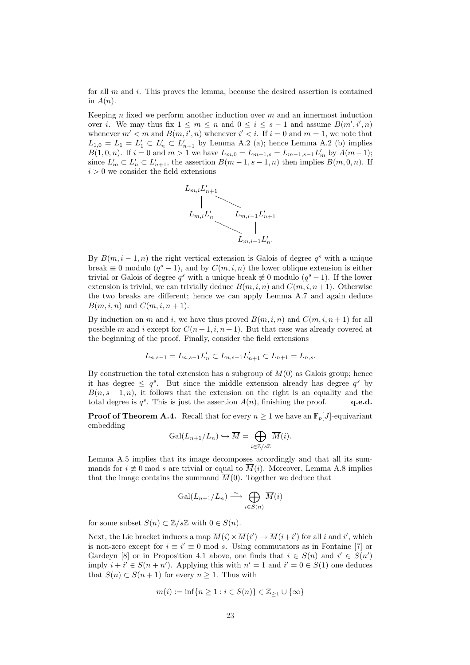for all  $m$  and  $i$ . This proves the lemma, because the desired assertion is contained in  $A(n)$ .

Keeping n fixed we perform another induction over  $m$  and an innermost induction over *i*. We may thus fix  $1 \leq m \leq n$  and  $0 \leq i \leq s-1$  and assume  $B(m', i', n)$ whenever  $m' < m$  and  $B(m, i', n)$  whenever  $i' < i$ . If  $i = 0$  and  $m = 1$ , we note that  $L_{1,0} = L_1 = L'_1 \subset L'_n \subset L'_{n+1}$  by Lemma A.2 (a); hence Lemma A.2 (b) implies  $B(1,0,n)$ . If  $i=0$  and  $m>1$  we have  $L_{m,0}=L_{m-1,s}=L_{m-1,s-1}L'_{m}$  by  $A(m-1);$ since  $L'_m \subset L'_n \subset L'_{n+1}$ , the assertion  $B(m-1, s-1, n)$  then implies  $B(m, 0, n)$ . If  $i > 0$  we consider the field extensions



By  $B(m, i-1, n)$  the right vertical extension is Galois of degree  $q<sup>s</sup>$  with a unique break  $\equiv 0$  modulo  $(q^s - 1)$ , and by  $C(m, i, n)$  the lower oblique extension is either trivial or Galois of degree  $q^s$  with a unique break  $\neq 0$  modulo  $(q^s-1)$ . If the lower extension is trivial, we can trivially deduce  $B(m, i, n)$  and  $C(m, i, n+1)$ . Otherwise the two breaks are different; hence we can apply Lemma A.7 and again deduce  $B(m, i, n)$  and  $C(m, i, n + 1)$ .

By induction on m and i, we have thus proved  $B(m, i, n)$  and  $C(m, i, n + 1)$  for all possible m and i except for  $C(n+1,i,n+1)$ . But that case was already covered at the beginning of the proof. Finally, consider the field extensions

$$
L_{n,s-1} = L_{n,s-1}L'_n \subset L_{n,s-1}L'_{n+1} \subset L_{n+1} = L_{n,s}.
$$

By construction the total extension has a subgroup of  $\overline{M}(0)$  as Galois group; hence it has degree  $\leq q^s$ . But since the middle extension already has degree  $q^s$  by  $B(n, s - 1, n)$ , it follows that the extension on the right is an equality and the total degree is  $q^s$ . This is just the assertion  $A(n)$ , finishing the proof. q.e.d.

**Proof of Theorem A.4.** Recall that for every  $n \geq 1$  we have an  $\mathbb{F}_p[J]$ -equivariant embedding  $\sim$ 

$$
\mathrm{Gal}(L_{n+1}/L_n)\hookrightarrow \overline{M}=\bigoplus_{i\in\mathbb{Z}/s\mathbb{Z}}\overline{M}(i).
$$

Lemma A.5 implies that its image decomposes accordingly and that all its summands for  $i \neq 0$  mod s are trivial or equal to  $\overline{M}(i)$ . Moreover, Lemma A.8 implies that the image contains the summand  $\overline{M}(0)$ . Together we deduce that

$$
\operatorname{Gal}(L_{n+1}/L_n) \xrightarrow{\sim} \bigoplus_{i \in S(n)} \overline{M}(i)
$$

for some subset  $S(n) \subset \mathbb{Z}/s\mathbb{Z}$  with  $0 \in S(n)$ .

Next, the Lie bracket induces a map  $\overline{M}(i) \times \overline{M}(i') \to \overline{M}(i+i')$  for all i and i', which is non-zero except for  $i \equiv i' \equiv 0 \mod s$ . Using commutators as in Fontaine [7] or Gardeyn [8] or in Proposition 4.1 above, one finds that  $i \in S(n)$  and  $i' \in S(n')$ imply  $i + i' \in S(n + n')$ . Applying this with  $n' = 1$  and  $i' = 0 \in S(1)$  one deduces that  $S(n) \subset S(n+1)$  for every  $n \geq 1$ . Thus with

$$
m(i) := \inf\{n \ge 1 : i \in S(n)\} \in \mathbb{Z}_{\ge 1} \cup \{\infty\}
$$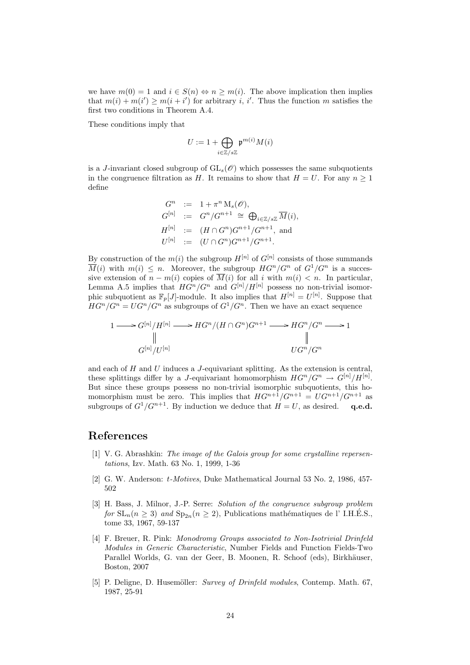we have  $m(0) = 1$  and  $i \in S(n) \Leftrightarrow n \ge m(i)$ . The above implication then implies that  $m(i) + m(i') \geq m(i + i')$  for arbitrary *i*, *i'*. Thus the function *m* satisfies the first two conditions in Theorem A.4.

These conditions imply that

$$
U := 1 + \bigoplus_{i \in \mathbb{Z}/s\mathbb{Z}} \mathfrak{p}^{m(i)} M(i)
$$

is a J-invariant closed subgroup of  $GL_s(\mathscr{O})$  which possesses the same subquotients in the congruence filtration as H. It remains to show that  $H = U$ . For any  $n \geq 1$ define

$$
G^n := 1 + \pi^n M_s(\mathscr{O}),
$$
  
\n
$$
G^{[n]} := G^n / G^{n+1} \cong \bigoplus_{i \in \mathbb{Z}/s\mathbb{Z}} \overline{M}(i),
$$
  
\n
$$
H^{[n]} := (H \cap G^n) G^{n+1} / G^{n+1},
$$
 and  
\n
$$
U^{[n]} := (U \cap G^n) G^{n+1} / G^{n+1}.
$$

By construction of the  $m(i)$  the subgroup  $H^{[n]}$  of  $G^{[n]}$  consists of those summands  $\overline{M}(i)$  with  $m(i) \leq n$ . Moreover, the subgroup  $HG^n/G^n$  of  $G^1/G^n$  is a successive extension of  $n - m(i)$  copies of  $\overline{M}(i)$  for all i with  $m(i) < n$ . In particular, Lemma A.5 implies that  $HG^n/G^n$  and  $G^{[n]}/H^{[n]}$  possess no non-trivial isomorphic subquotient as  $\mathbb{F}_p[J]$ -module. It also implies that  $H^{[n]} = U^{[n]}$ . Suppose that  $HG^n/G^n = UG^n/G^n$  as subgroups of  $G^1/G^n$ . Then we have an exact sequence

$$
1 \longrightarrow G^{[n]}/H^{[n]} \longrightarrow HG^n/(H \cap G^n)G^{n+1} \longrightarrow HG^n/G^n \longrightarrow 1
$$
  
\n
$$
\parallel \qquad \qquad \parallel
$$
  
\n
$$
G^{[n]}/U^{[n]}
$$
  
\n
$$
UG^n/G^n
$$

and each of  $H$  and  $U$  induces a  $J$ -equivariant splitting. As the extension is central, these splittings differ by a *J*-equivariant homomorphism  $HG^n/G^n \to G^{[n]}/H^{[n]}$ . But since these groups possess no non-trivial isomorphic subquotients, this homomorphism must be zero. This implies that  $HG^{n+1}/G^{n+1} = UG^{n+1}/G^{n+1}$  as subgroups of  $G^1/G^{n+1}$ . By induction we deduce that  $H = U$ , as desired. q.e.d.

### References

- [1] V. G. Abrashkin: The image of the Galois group for some crystalline repersentations, Izv. Math. 63 No. 1, 1999, 1-36
- [2] G. W. Anderson: t-Motives, Duke Mathematical Journal 53 No. 2, 1986, 457- 502
- [3] H. Bass, J. Milnor, J.-P. Serre: Solution of the congruence subgroup problem for  $SL_n(n \geq 3)$  and  $Sp_{2n}(n \geq 2)$ , Publications mathématiques de l' I.H.E.S., tome 33, 1967, 59-137
- [4] F. Breuer, R. Pink: Monodromy Groups associated to Non-Isotrivial Drinfeld Modules in Generic Characteristic, Number Fields and Function Fields-Two Parallel Worlds, G. van der Geer, B. Moonen, R. Schoof (eds), Birkhäuser, Boston, 2007
- [5] P. Deligne, D. Husemöller: Survey of Drinfeld modules, Contemp. Math. 67, 1987, 25-91